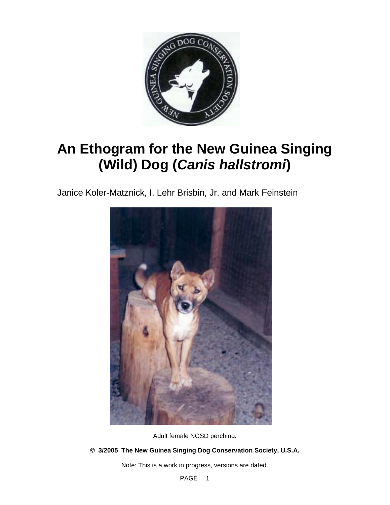

# **An Ethogram for the New Guinea Singing (Wild) Dog (***Canis hallstromi***)**

Janice Koler-Matznick, I. Lehr Brisbin, Jr. and Mark Feinstein



Adult female NGSD perching.

# **© 3/2005 The New Guinea Singing Dog Conservation Society, U.S.A.**

Note: This is a work in progress, versions are dated.

PAGE<sub>1</sub>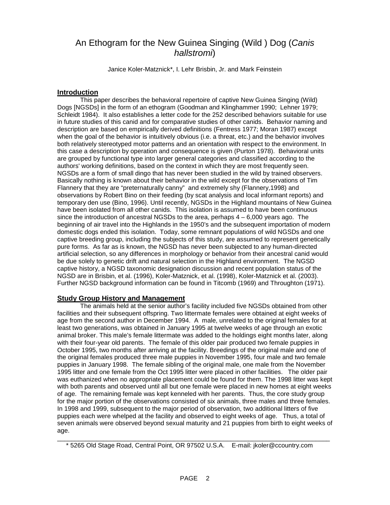# An Ethogram for the New Guinea Singing (Wild ) Dog (*Canis hallstromi*)

Janice Koler-Matznick\*, I. Lehr Brisbin, Jr. and Mark Feinstein

# **Introduction**

This paper describes the behavioral repertoire of captive New Guinea Singing (Wild) Dogs [NGSDs] in the form of an ethogram (Goodman and Klinghammer 1990; Lehner 1979; Schleidt 1984). It also establishes a letter code for the 252 described behaviors suitable for use in future studies of this canid and for comparative studies of other canids. Behavior naming and description are based on empirically derived definitions (Fentress 1977; Moran 1987) except when the goal of the behavior is intuitively obvious (i.e. a threat, etc.) and the behavior involves both relatively stereotyped motor patterns and an orientation with respect to the environment. In this case a description by operation and consequence is given (Purton 1978). Behavioral units are grouped by functional type into larger general categories and classified according to the authors' working definitions, based on the context in which they are most frequently seen. NGSDs are a form of small dingo that has never been studied in the wild by trained observers. Basically nothing is known about their behavior in the wild except for the observations of Tim Flannery that they are "preternaturally canny" and extremely shy (Flannery,1998) and observations by Robert Bino on their feeding (by scat analysis and local informant reports) and temporary den use (Bino, 1996). Until recently, NGSDs in the Highland mountains of New Guinea have been isolated from all other canids. This isolation is assumed to have been continuous since the introduction of ancestral NGSDs to the area, perhaps  $4 - 6,000$  years ago. The beginning of air travel into the Highlands in the 1950's and the subsequent importation of modern domestic dogs ended this isolation. Today, some remnant populations of wild NGSDs and one captive breeding group, including the subjects of this study, are assumed to represent genetically pure forms. As far as is known, the NGSD has never been subjected to any human-directed artificial selection, so any differences in morphology or behavior from their ancestral canid would be due solely to genetic drift and natural selection in the Highland environment. The NGSD captive history, a NGSD taxonomic designation discussion and recent population status of the NGSD are in Brisbin, et al. (1996), Koler-Matznick, et al. (1998), Koler-Matznick et al. (2003). Further NGSD background information can be found in Titcomb (1969) and Throughton (1971).

# **Study Group History and Management**

The animals held at the senior author's facility included five NGSDs obtained from other facilities and their subsequent offspring. Two littermate females were obtained at eight weeks of age from the second author in December 1994. A male, unrelated to the original females for at least two generations, was obtained in January 1995 at twelve weeks of age through an exotic animal broker. This male's female littermate was added to the holdings eight months later, along with their four-year old parents. The female of this older pair produced two female puppies in October 1995, two months after arriving at the facility. Breedings of the original male and one of the original females produced three male puppies in November 1995, four male and two female puppies in January 1998. The female sibling of the original male, one male from the November 1995 litter and one female from the Oct 1995 litter were placed in other facilities. The older pair was euthanized when no appropriate placement could be found for them. The 1998 litter was kept with both parents and observed until all but one female were placed in new homes at eight weeks of age. The remaining female was kept kenneled with her parents. Thus, the core study group for the major portion of the observations consisted of six animals, three males and three females. In 1998 and 1999, subsequent to the major period of observation, two additional litters of five puppies each were whelped at the facility and observed to eight weeks of age. Thus, a total of seven animals were observed beyond sexual maturity and 21 puppies from birth to eight weeks of age.

\_\_\_\_\_\_\_\_\_\_\_\_\_\_\_\_\_\_\_\_\_\_\_\_\_\_\_\_\_\_\_\_\_\_\_\_\_\_\_\_\_\_\_\_\_\_\_\_\_\_\_\_\_\_\_\_\_\_\_\_\_\_\_\_\_\_\_\_\_\_\_\_\_\_\_\_\_ \* 5265 Old Stage Road, Central Point, OR 97502 U.S.A. E-mail: jkoler@ccountry.com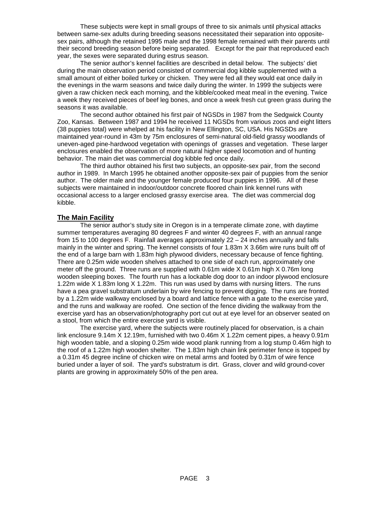These subjects were kept in small groups of three to six animals until physical attacks between same-sex adults during breeding seasons necessitated their separation into oppositesex pairs, although the retained 1995 male and the 1998 female remained with their parents until their second breeding season before being separated. Except for the pair that reproduced each year, the sexes were separated during estrus season.

The senior author's kennel facilities are described in detail below. The subjects' diet during the main observation period consisted of commercial dog kibble supplemented with a small amount of either boiled turkey or chicken. They were fed all they would eat once daily in the evenings in the warm seasons and twice daily during the winter. In 1999 the subjects were given a raw chicken neck each morning, and the kibble/cooked meat meal in the evening. Twice a week they received pieces of beef leg bones, and once a week fresh cut green grass during the seasons it was available.

The second author obtained his first pair of NGSDs in 1987 from the Sedgwick County Zoo, Kansas. Between 1987 and 1994 he received 11 NGSDs from various zoos and eight litters (38 puppies total) were whelped at his facility in New Ellington, SC, USA. His NGSDs are maintained year-round in 43m by 75m enclosures of semi-natural old-field grassy woodlands of uneven-aged pine-hardwood vegetation with openings of grasses and vegetation. These larger enclosures enabled the observation of more natural higher speed locomotion and of hunting behavior. The main diet was commercial dog kibble fed once daily.

The third author obtained his first two subjects, an opposite-sex pair, from the second author in 1989. In March 1995 he obtained another opposite-sex pair of puppies from the senior author. The older male and the younger female produced four puppies in 1996. All of these subjects were maintained in indoor/outdoor concrete floored chain link kennel runs with occasional access to a larger enclosed grassy exercise area. The diet was commercial dog kibble.

#### **The Main Facility**

The senior author's study site in Oregon is in a temperate climate zone, with daytime summer temperatures averaging 80 degrees F and winter 40 degrees F, with an annual range from 15 to 100 degrees F. Rainfall averages approximately 22 – 24 inches annually and falls mainly in the winter and spring. The kennel consists of four 1.83m X 3.66m wire runs built off of the end of a large barn with 1.83m high plywood dividers, necessary because of fence fighting. There are 0.25m wide wooden shelves attached to one side of each run, approximately one meter off the ground. Three runs are supplied with  $0.61m$  wide  $X$  0.61m high X 0.76m long wooden sleeping boxes. The fourth run has a lockable dog door to an indoor plywood enclosure 1.22m wide X 1.83m long X 1.22m. This run was used by dams with nursing litters. The runs have a pea gravel substratum underlain by wire fencing to prevent digging. The runs are fronted by a 1.22m wide walkway enclosed by a board and lattice fence with a gate to the exercise yard, and the runs and walkway are roofed. One section of the fence dividing the walkway from the exercise yard has an observation/photography port cut out at eye level for an observer seated on a stool, from which the entire exercise yard is visible.

The exercise yard, where the subjects were routinely placed for observation, is a chain link enclosure 9.14m X 12.19m, furnished with two 0.46m X 1.22m cement pipes, a heavy 0.91m high wooden table, and a sloping 0.25m wide wood plank running from a log stump 0.46m high to the roof of a 1.22m high wooden shelter. The 1.83m high chain link perimeter fence is topped by a 0.31m 45 degree incline of chicken wire on metal arms and footed by 0.31m of wire fence buried under a layer of soil. The yard's substratum is dirt. Grass, clover and wild ground-cover plants are growing in approximately 50% of the pen area.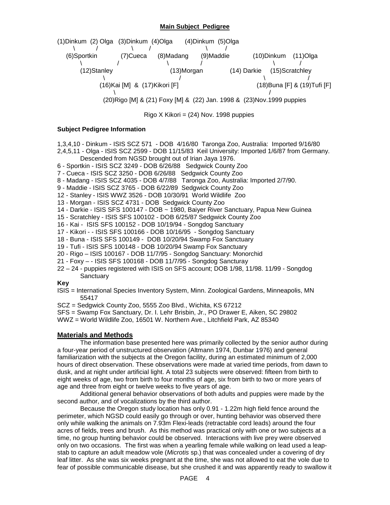#### **Main Subject Pedigree**



 $Riqo X Kikori = (24) Nov. 1998 puppies$ 

#### **Subject Pedigree Information**

- 1,3,4,10 Dinkum ISIS SCZ 571 DOB 4/16/80 Taronga Zoo, Australia: Imported 9/16/80
- 2,4,5,11 Olga ISIS SCZ 2599 DOB 11/15/83 Keil University: Imported 1/6/87 from Germany. Descended from NGSD brought out of Irian Jaya 1976.
- 6 Sportkin ISIS SCZ 3249 DOB 6/26/88 Sedgwick County Zoo
- 7 Cueca ISIS SCZ 3250 DOB 6/26/88 Sedgwick County Zoo
- 8 Madang ISIS SCZ 4035 DOB 4/7/88 Taronga Zoo, Australia: Imported 2/7/90.
- 9 Maddie ISIS SCZ 3765 DOB 6/22/89 Sedgwick County Zoo
- 12 Stanley ISIS WWZ 3526 DOB 10/30/91 World Wildlife Zoo
- 13 Morgan ISIS SCZ 4731 DOB Sedgwick County Zoo
- 14 Darkie ISIS SFS 100147 DOB ~ 1980, Baiyer River Sanctuary, Papua New Guinea
- 15 Scratchley ISIS SFS 100102 DOB 6/25/87 Sedgwick County Zoo
- 16 Kai ISIS SFS 100152 DOB 10/19/94 Songdog Sanctuary
- 17 Kikori - ISIS SFS 100166 DOB 10/16/95 Songdog Sanctuary
- 18 Buna ISIS SFS 100149 DOB 10/20/94 Swamp Fox Sanctuary
- 19 Tufi ISIS SFS 100148 DOB 10/20/94 Swamp Fox Sanctuary
- 20 Rigo ISIS 100167 DOB 11/7/95 Songdog Sanctuary: Monorchid
- 21 Foxy - ISIS SFS 100168 DOB 11/7/95 Songdog Sancturay
- 22 24 puppies registered with ISIS on SFS account; DOB 1/98, 11/98. 11/99 Songdog **Sanctuary**

#### **Key**

- ISIS = International Species Inventory System, Minn. Zoological Gardens, Minneapolis, MN 55417
- SCZ = Sedgwick County Zoo, 5555 Zoo Blvd., Wichita, KS 67212
- SFS = Swamp Fox Sanctuary, Dr. I. Lehr Brisbin, Jr., PO Drawer E, Aiken, SC 29802
- WWZ = World Wildlife Zoo, 16501 W. Northern Ave., Litchfield Park, AZ 85340

# **Materials and Methods**

The information base presented here was primarily collected by the senior author during a four-year period of unstructured observation (Altmann 1974, Dunbar 1976) and general familiarization with the subjects at the Oregon facility, during an estimated minimum of 2,000 hours of direct observation. These observations were made at varied time periods, from dawn to dusk, and at night under artificial light. A total 23 subjects were observed: fifteen from birth to eight weeks of age, two from birth to four months of age, six from birth to two or more years of age and three from eight or twelve weeks to five years of age.

Additional general behavior observations of both adults and puppies were made by the second author, and of vocalizations by the third author.

Because the Oregon study location has only 0.91 - 1.22m high field fence around the perimeter, which NGSD could easily go through or over, hunting behavior was observed there only while walking the animals on 7.93m Flexi-leads (retractable cord leads) around the four acres of fields, trees and brush. As this method was practical only with one or two subjects at a time, no group hunting behavior could be observed. Interactions with live prey were observed only on two occasions. The first was when a yearling female while walking on lead used a leapstab to capture an adult meadow vole (*Microtis* sp.) that was concealed under a covering of dry leaf litter. As she was six weeks pregnant at the time, she was not allowed to eat the vole due to fear of possible communicable disease, but she crushed it and was apparently ready to swallow it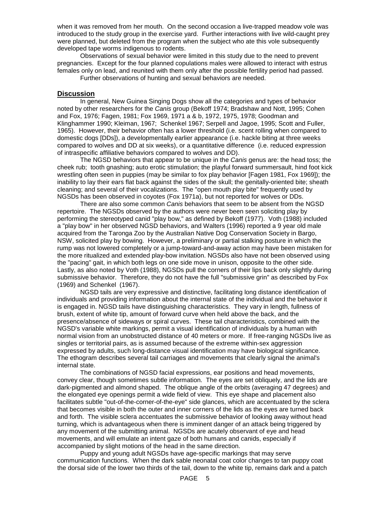when it was removed from her mouth. On the second occasion a live-trapped meadow vole was introduced to the study group in the exercise yard. Further interactions with live wild-caught prey were planned, but deleted from the program when the subject who ate this vole subsequently developed tape worms indigenous to rodents.

Observations of sexual behavior were limited in this study due to the need to prevent pregnancies. Except for the four planned copulations males were allowed to interact with estrus females only on lead, and reunited with them only after the possible fertility period had passed.

Further observations of hunting and sexual behaviors are needed.

#### **Discussion**

In general, New Guinea Singing Dogs show all the categories and types of behavior noted by other researchers for the *Canis* group (Bekoff 1974; Bradshaw and Nott, 1995; Cohen and Fox, 1976; Fagen, 1981; Fox 1969, 1971 a & b, 1972, 1975, 1978; Goodman and Klinghammer 1990; Kleiman, 1967; Schenkel 1967; Serpell and Jagoe, 1995; Scott and Fuller, 1965). However, their behavior often has a lower threshold (i.e. scent rolling when compared to domestic dogs [DDs]), a developmentally earlier appearance (i.e. hackle biting at three weeks compared to wolves and DD at six weeks), or a quantitative difference (i.e. reduced expression of intraspecific affiliative behaviors compared to wolves and DD).

The NGSD behaviors that appear to be unique in the *Canis* genus are: the head toss; the cheek rub; tooth gnashing; auto erotic stimulation; the playful forward summersault, hind foot kick wrestling often seen in puppies (may be similar to fox play behavior [Fagen 1981, Fox 1969]); the inability to lay their ears flat back against the sides of the skull; the genitally-oriented bite; sheath cleaning; and several of their vocalizations. The "open mouth play bite" frequently used by NGSDs has been observed in coyotes (Fox 1971a), but not reported for wolves or DDs.

There are also some common *Canis* behaviors that seem to be absent from the NGSD repertoire. The NGSDs observed by the authors were never been seen soliciting play by performing the stereotyped canid "play bow," as defined by Bekoff (1977). Voth (1988) included a "play bow" in her observed NGSD behaviors, and Walters (1996) reported a 9 year old male acquired from the Taronga Zoo by the Australian Native Dog Conservation Society in Bargo, NSW, solicited play by bowing. However, a preliminary or partial stalking posture in which the rump was not lowered completely or a jump-toward-and-away action may have been mistaken for the more ritualized and extended play-bow invitation. NGSDs also have not been observed using the "pacing" gait, in which both legs on one side move in unison, opposite to the other side. Lastly, as also noted by Voth (1988), NGSDs pull the corners of their lips back only slightly during submissive behavior. Therefore, they do not have the full "submissive grin" as described by Fox (1969) and Schenkel (1967).

NGSD tails are very expressive and distinctive, facilitating long distance identification of individuals and providing information about the internal state of the individual and the behavior it is engaged in. NGSD tails have distinguishing characteristics. They vary in length, fullness of brush, extent of white tip, amount of forward curve when held above the back, and the presence/absence of sideways or spiral curves. These tail characteristics, combined with the NGSD's variable white markings, permit a visual identification of individuals by a human with normal vision from an unobstructed distance of 40 meters or more. If free-ranging NGSDs live as singles or territorial pairs, as is assumed because of the extreme within-sex aggression expressed by adults, such long-distance visual identification may have biological significance. The ethogram describes several tail carriages and movements that clearly signal the animal's internal state.

The combinations of NGSD facial expressions, ear positions and head movements, convey clear, though sometimes subtle information. The eyes are set obliquely, and the lids are dark-pigmented and almond shaped. The oblique angle of the orbits (averaging 47 degrees) and the elongated eye openings permit a wide field of view. This eye shape and placement also facilitates subtle "out-of-the-corner-of-the-eye" side glances, which are accentuated by the sclera that becomes visible in both the outer and inner corners of the lids as the eyes are turned back and forth. The visible sclera accentuates the submissive behavior of looking away without head turning, which is advantageous when there is imminent danger of an attack being triggered by any movement of the submitting animal. NGSDs are acutely observant of eye and head movements, and will emulate an intent gaze of both humans and canids, especially if accompanied by slight motions of the head in the same direction.

Puppy and young adult NGSDs have age-specific markings that may serve communication functions. When the dark sable neonatal coat color changes to tan puppy coat the dorsal side of the lower two thirds of the tail, down to the white tip, remains dark and a patch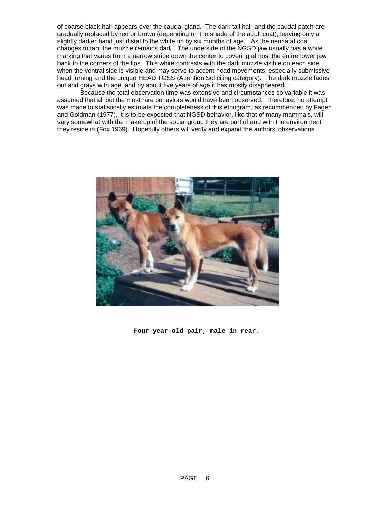of coarse black hair appears over the caudal gland. The dark tail hair and the caudal patch are gradually replaced by red or brown (depending on the shade of the adult coat), leaving only a slightly darker band just distal to the white tip by six months of age. As the neonatal coat changes to tan, the muzzle remains dark. The underside of the NGSD jaw usually has a white marking that varies from a narrow stripe down the center to covering almost the entire lower jaw back to the corners of the lips. This white contrasts with the dark muzzle visible on each side when the ventral side is visible and may serve to accent head movements, especially submissive head turning and the unique HEAD TOSS (Attention Soliciting category). The dark muzzle fades out and grays with age, and by about five years of age it has mostly disappeared.

Because the total observation time was extensive and circumstances so variable it was assumed that all but the most rare behaviors would have been observed. Therefore, no attempt was made to statistically estimate the completeness of this ethogram, as recommended by Fagen and Goldman (1977). It is to be expected that NGSD behavior, like that of many mammals, will vary somewhat with the make up of the social group they are part of and with the environment they reside in (Fox 1969). Hopefully others will verify and expand the authors' observations.



 **Four-year-old pair, male in rear.**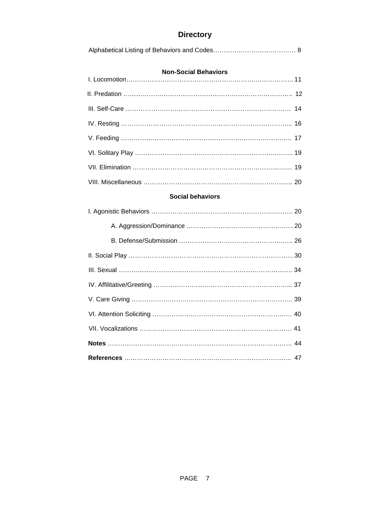# **Directory**

# **Non-Social Behaviors**

# **Social behaviors**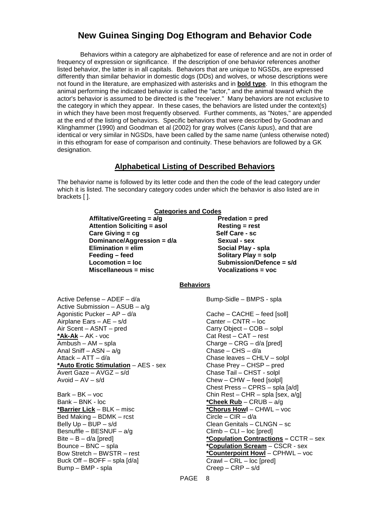# **New Guinea Singing Dog Ethogram and Behavior Code**

Behaviors within a category are alphabetized for ease of reference and are not in order of frequency of expression or significance. If the description of one behavior references another listed behavior, the latter is in all capitals. Behaviors that are unique to NGSDs, are expressed differently than similar behavior in domestic dogs (DDs) and wolves, or whose descriptions were not found in the literature, are emphasized with asterisks and in **bold type**. In this ethogram the animal performing the indicated behavior is called the "actor," and the animal toward which the actor's behavior is assumed to be directed is the "receiver." Many behaviors are not exclusive to the category in which they appear. In these cases, the behaviors are listed under the context(s) in which they have been most frequently observed. Further comments, as "Notes," are appended at the end of the listing of behaviors. Specific behaviors that were described by Goodman and Klinghammer (1990) and Goodman et al (2002) for gray wolves (*Canis lupus*), and that are identical or very similar in NGSDs, have been called by the same name (unless otherwise noted) in this ethogram for ease of comparison and continuity. These behaviors are followed by a GK designation.

# **Alphabetical Listing of Described Behaviors**

The behavior name is followed by its letter code and then the code of the lead category under which it is listed. The secondary category codes under which the behavior is also listed are in brackets [ ].

| <b>Categories and Codes</b>                  |                                        |  |  |
|----------------------------------------------|----------------------------------------|--|--|
| Affiltative/Greeting = a/g                   | Predation = pred                       |  |  |
| <b>Attention Soliciting = asol</b>           | <b>Resting = rest</b>                  |  |  |
| Care Giving $=$ cg                           | Self Care - sc                         |  |  |
| Dominance/Aggression = d/a                   | Sexual - sex                           |  |  |
| $Elimination = elim$                         | Social Play - spla                     |  |  |
| Feeding - feed                               | <b>Solitary Play = solp</b>            |  |  |
| Locomotion = loc                             | Submission/Defence = s/d               |  |  |
| Miscellaneous = misc                         | <b>Vocalizations = voc</b>             |  |  |
|                                              | <u>Behaviors</u>                       |  |  |
| Active Defense - ADEF - d/a                  | Bump-Sidle - BMPS - spla               |  |  |
| Active Submission $-$ ASUB $-$ a/g           |                                        |  |  |
| Agonistic Pucker - AP - d/a                  | Cache - CACHE - feed [soll]            |  |  |
| Airplane Ears - AE - s/d                     | Canter $-$ CNTR $-$ loc                |  |  |
| Air Scent - ASNT - pred                      | Carry Object - COB - solpl             |  |  |
| *Ak-Ak - AK - voc                            | $Cat$ Rest $-$ CAT $-$ rest            |  |  |
| Ambush - AM - spla                           | Charge - CRG - d/a [pred]              |  |  |
| Anal Sniff $-$ ASN $-$ a/g                   | Chase $-$ CHS $-$ d/a                  |  |  |
| Attack $-$ ATT $-$ d/a                       | Chase leaves - CHLV - solpl            |  |  |
| * <b>Auto Erotic Stimulation</b> - AES - sex | Chase Prey - CHSP - pred               |  |  |
| Avert Gaze - AVGZ - s/d                      | Chase Tail - CHST - solpl              |  |  |
| $Avoid - AV - s/d$                           | $Chew - CHW - feed$ [solpl]            |  |  |
|                                              | Chest Press - CPRS - spla [a/d]        |  |  |
| $Bark - BK - voc$                            | Chin Rest – CHR – spla [sex, $a/g$ ]   |  |  |
| Bank – BNK - loc                             | <u>*Cheek Rub</u> – CRUB – a/g         |  |  |
| <u>*Barrier Lick</u> – BLK – misc            | *Chorus Howl - CHWL - voc              |  |  |
| Bed Making - BDMK - rcst                     | $Circle - CIR - d/a$                   |  |  |
| Belly $Up - BUP - s/d$                       | Clean Genitals - CLNGN - sc            |  |  |
| Besnuffle - BESNUF - $a/g$                   | $Climb - CLI - loc[pred]$              |  |  |
| Bite $- B - d/a$ [pred]                      | *Copulation Contractions - CCTR - sex  |  |  |
| Bounce - BNC - spla                          | <b>*Copulation Scream</b> – CSCR - sex |  |  |

**\*Counterpoint Howl** – CPHWL – voc

Crawl – CRL – loc [pred]  $Creep - CRP - s/d$ 

Bow Stretch – BWSTR – rest Buck Off – BOFF – spla [d/a]

Bump – BMP - spla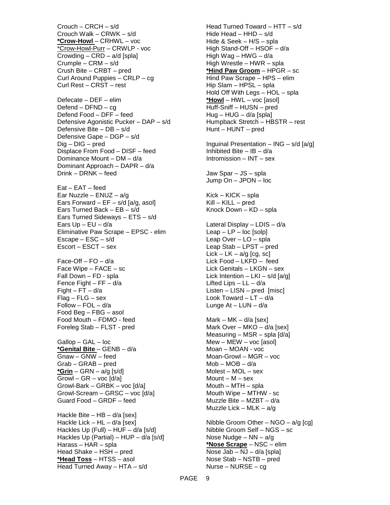Crouch – CRCH – s/d Crouch Walk – CRWK – s/d **\*Crow-Howl** – CRHWL – voc \*Crow-Howl-Purr – CRWLP - voc Crowding – CRD – a/d [spla] Crumple – CRM – s/d Crush Bite – CRBT – pred Curl Around Puppies – CRLP – cg Curl Rest – CRST – rest Defecate – DEF – elim Defend – DFND – cg Defend Food – DFF – feed Defensive Agonistic Pucker – DAP – s/d Defensive Bite – DB – s/d Defensive Gape – DGP – s/d Dig – DIG – pred Displace From Food – DISF – feed Dominance Mount – DM – d/a Dominant Approach – DAPR – d/a Drink – DRNK – feed Eat – EAT – feed Ear Nuzzle – ENUZ – a/g Ears Forward –  $EF - s/d$  [a/g, asol] Ears Turned Back – EB – s/d Ears Turned Sideways – ETS – s/d Ears  $Up - EU - d/a$ Eliminative Paw Scrape – EPSC - elim Escape – ESC – s/d Escort – ESCT – sex Face-Off –  $FO - d/a$ Face Wipe – FACE – sc Fall Down – FD - spla Fence Fight – FF – d/a Fight –  $FT - d/a$  $Flag - FLG - sex$ Follow – FOL – d/a Food Beg – FBG – asol Food Mouth – FDMO - feed Foreleg Stab – FLST - pred Gallop – GAL – loc **\*Genital Bite** – GENB – d/a Gnaw – GNW – feed Grab – GRAB – pred **\*Grin** – GRN – a/g [s/d]  $GrowI - GR - voc [d/a]$ Growl-Bark – GRBK – voc [d/a] Growl-Scream – GRSC – voc [d/a] Guard Food – GRDF – feed Hackle Bite – HB –  $d/a$  [sex] Hackle Lick – HL –  $d/a$  [sex] Hackles Up (Full) – HUF – d/a [s/d] Hackles Up (Partial) – HUP – d/a [s/d] Harass – HAR – spla Head Shake – HSH – pred **\*Head Toss** – HTSS – asol Head Turned Away – HTA – s/d

Head Turned Toward – HTT – s/d Hide Head – HHD – s/d Hide & Seek – H/S – spla High Stand-Off – HSOF – d/a High Wag – HWG – d/a High Wrestle – HWR – spla **\*Hind Paw Groom** – HPGR – sc Hind Paw Scrape – HPS – elim Hip Slam – HPSL – spla Hold Off With Legs – HOL – spla **\*Howl** – HWL – voc [asol] Huff-Sniff – HUSN – pred Hug – HUG – d/a [spla] Humpback Stretch – HBSTR – rest Hunt – HUNT – pred Inguinal Presentation – ING – s/d [a/g] Inhibited Bite –  $IB - d/a$ Intromission – INT – sex Jaw Spar – JS – spla Jump On – JPON – loc Kick – KICK – spla Kill – KILL – pred Knock Down – KD – spla Lateral Display – LDIS – d/a  $Leap - LP - loc$  [solp] Leap Over – LO – spla Leap Stab – LPST – pred Lick – LK –  $a/g$  [cg, sc] Lick Food – LKFD – feed Lick Genitals – LKGN – sex Lick Intention – LKI – s/d  $[a/g]$ Lifted Lips  $-$  LL  $-$  d/a Listen – LISN – pred [misc] Look Toward –  $LT - d/a$ Lunge  $At - LUN - d/a$ Mark – MK – d/a [sex] Mark Over – MKO – d/a [sex] Measuring – MSR – spla  $\lceil d/a \rceil$ Mew – MEW – voc [asol] Moan – MOAN - voc Moan-Growl – MGR – voc Mob – MOB – d/a Molest – MOL – sex Mount –  $M -$ sex Mouth – MTH – spla Mouth Wipe – MTHW - sc Muzzle Bite – MZBT – d/a Muzzle Lick – MLK –  $a/q$ Nibble Groom Other –  $NGO - a/g$  [cg] Nibble Groom Self – NGS – sc Nose Nudge – NN – a/g **\*Nose Scrape** – NSC – elim Nose Jab – NJ – d/a [spla] Nose Stab – NSTB – pred Nurse – NURSE – cg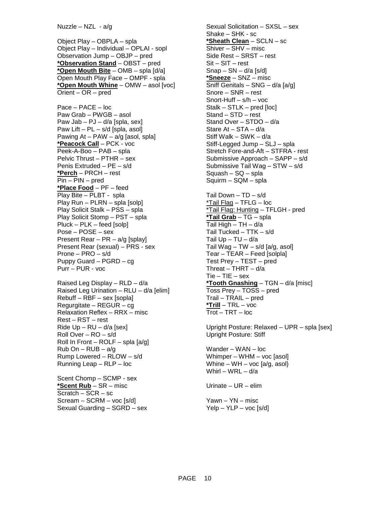Object Play – OBPLA – spla Object Play – Individual – OPLAI - sopl Observation Jump – OBJP – pred **\*Observation Stand** – OBST – pred **\*Open Mouth Bite** – OMB – spla [d/a] Open Mouth Play Face – OMPF - spla **\*Open Mouth Whine** – OMW – asol [voc] Orient – OR – pred

Pace – PACE – loc Paw Grab – PWGB – asol Paw Jab – PJ –  $d/a$  [spla, sex] Paw Lift – PL – s/d [spla, asol] Pawing  $At - PAW - a/g$  [asol, spla] **\*Peacock Call** – PCK - voc Peek-A-Boo – PAB – spla Pelvic Thrust – PTHR – sex Penis Extruded – PE – s/d **\*Perch** – PRCH – rest Pin – PIN – pred **\*Place Food** – PF – feed Play Bite – PLBT - spla Play Run – PLRN – spla [solp] Play Solicit Stalk – PSS – spla Play Solicit Stomp – PST – spla Pluck – PLK – feed [solp] Pose – POSE – sex Present Rear – PR – a/g [splay] Present Rear (sexual) – PRS - sex Prone – PRO – s/d Puppy Guard – PGRD – cg Purr – PUR - voc

Raised Leg Display – RLD – d/a Raised Leg Urination – RLU – d/a [elim] Rebuff – RBF – sex [sopla] Regurgitate – REGUR – cg Relaxation Reflex – RRX – misc Rest – RST – rest Ride  $Up - RU - d/a$  [sex] Roll Over – RO – s/d Roll In Front – ROLF – spla  $[a/q]$  $Rub On - RUB - a/g$ Rump Lowered – RLOW – s/d Running Leap – RLP – loc

Scent Chomp – SCMP - sex **\*Scent Rub** – SR – misc  $Scratch - SCR - sc$ Scream – SCRM – voc [s/d] Sexual Guarding – SGRD – sex

Sexual Solicitation – SXSL – sex Shake – SHK - sc **\*Sheath Clean** – SCLN – sc Shiver – SHV – misc Side Rest – SRST – rest Sit – SIT – rest  $Snap - SN - d/a$  [s/d] **\*Sneeze** – SNZ – misc  $\overline{\text{Sniff}}$  Genitals – SNG – d/a [a/g] Snore – SNR – rest Snort-Huff – s/h – voc Stalk – STLK – pred [loc] Stand – STD – rest Stand Over – STDO – d/a Stare At – STA – d/a Stiff Walk – SWK – d/a Stiff-Legged Jump – SLJ – spla Stretch Fore-and-Aft – STFRA - rest Submissive Approach – SAPP – s/d Submissive Tail Wag – STW – s/d Squash – SQ – spla Squirm – SQM – spla Tail Down – TD – s/d  $*$ Tail Flag – TFLG – loc \*Tail Flag: Hunting – TFLGH - pred **\*Tail Grab** – TG – spla Tail High – TH – d/a Tail Tucked – TTK – s/d Tail  $Up - TU - d/a$ Tail Wag – TW – s/d [a/g, asol] Tear – TEAR – Feed [solpla] Test Prey – TEST – pred Threat –  $THRT - d/a$ Tie – TIE – sex **\*Tooth Gnashing** – TGN – d/a [misc] Toss Prey – TOSS – pred Trail – TRAIL – pred **\*Trill** – TRL – voc Trot – TRT – loc

Upright Posture: Relaxed – UPR – spla [sex] Upright Posture: Stiff

Wander – WAN – loc Whimper – WHM – voc [asol] Whine – WH – voc  $[a/g, asol]$ Whirl – WRL – d/a

Urinate – UR – elim

Yawn – YN – misc  $Yelp - YLP - voc[s/d]$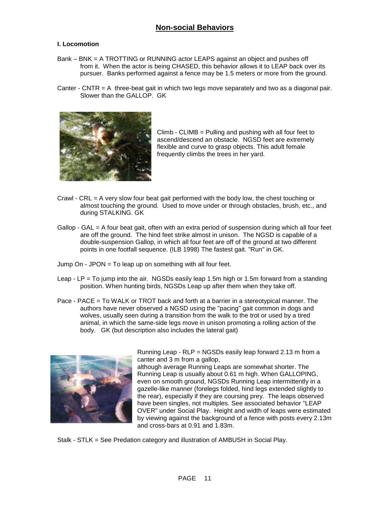# **Non-social Behaviors**

#### **I. Locomotion**

- Bank BNK = A TROTTING or RUNNING actor LEAPS against an object and pushes off from it. When the actor is being CHASED, this behavior allows it to LEAP back over its pursuer. Banks performed against a fence may be 1.5 meters or more from the ground.
- Canter CNTR  $=$  A three-beat gait in which two legs move separately and two as a diagonal pair. Slower than the GALLOP. GK



Climb - CLIMB = Pulling and pushing with all four feet to ascend/descend an obstacle. NGSD feet are extremely flexible and curve to grasp objects. This adult female frequently climbs the trees in her yard.

- Crawl CRL = A very slow four beat gait performed with the body low, the chest touching or almost touching the ground. Used to move under or through obstacles, brush, etc., and during STALKING. GK
- Gallop GAL = A four beat gait, often with an extra period of suspension during which all four feet are off the ground. The hind feet strike almost in unison. The NGSD is capable of a double-suspension Gallop, in which all four feet are off of the ground at two different points in one footfall sequence. (ILB 1998) The fastest gait. "Run" in GK.
- Jump On JPON = To leap up on something with all four feet.
- Leap LP = To jump into the air. NGSDs easily leap 1.5m high or 1.5m forward from a standing position. When hunting birds, NGSDs Leap up after them when they take off.
- Pace PACE = To WALK or TROT back and forth at a barrier in a stereotypical manner. The authors have never observed a NGSD using the "pacing" gait common in dogs and wolves, usually seen during a transition from the walk to the trot or used by a tired animal, in which the same-side legs move in unison promoting a rolling action of the body. GK (but description also includes the lateral gait)



Running Leap - RLP = NGSDs easily leap forward 2.13 m from a canter and 3 m from a gallop,

although average Running Leaps are somewhat shorter. The Running Leap is usually about 0.61 m high. When GALLOPING, even on smooth ground, NGSDs Running Leap intermittently in a gazelle-like manner (forelegs folded, hind legs extended slightly to the rear), especially if they are coursing prey. The leaps observed have been singles, not multiples. See associated behavior "LEAP OVER" under Social Play. Height and width of leaps were estimated by viewing against the background of a fence with posts every 2.13m and cross-bars at 0.91 and 1.83m.

Stalk - STLK = See Predation category and illustration of AMBUSH in Social Play.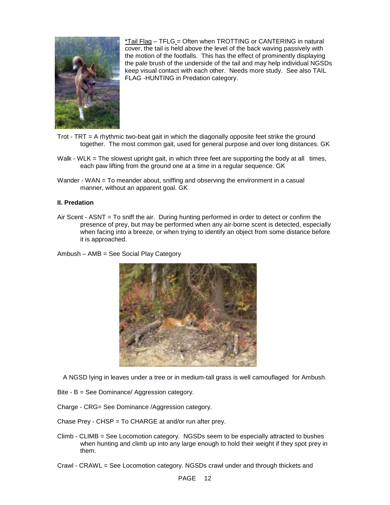

 $*$ Tail Flag – TFLG = Often when TROTTING or CANTERING in natural cover, the tail is held above the level of the back waving passively with the motion of the footfalls. This has the effect of prominently displaying the pale brush of the underside of the tail and may help individual NGSDs keep visual contact with each other. Needs more study. See also TAIL FLAG -HUNTING in Predation category.

- Trot  $TRT = A$  rhythmic two-beat gait in which the diagonally opposite feet strike the ground together. The most common gait, used for general purpose and over long distances. GK
- Walk WLK = The slowest upright gait, in which three feet are supporting the body at all times, each paw lifting from the ground one at a time in a regular sequence. GK
- Wander WAN = To meander about, sniffing and observing the environment in a casual manner, without an apparent goal. GK

#### **II. Predation**

- Air Scent ASNT = To sniff the air. During hunting performed in order to detect or confirm the presence of prey, but may be performed when any air-borne scent is detected, especially when facing into a breeze, or when trying to identify an object from some distance before it is approached.
- Ambush AMB = See Social Play Category



A NGSD lying in leaves under a tree or in medium-tall grass is well camouflaged for Ambush.

- Bite B = See Dominance/ Aggression category.
- Charge CRG= See Dominance /Aggression category.
- Chase Prey CHSP = To CHARGE at and/or run after prey.
- Climb CLIMB = See Locomotion category. NGSDs seem to be especially attracted to bushes when hunting and climb up into any large enough to hold their weight if they spot prey in them.
- Crawl CRAWL = See Locomotion category. NGSDs crawl under and through thickets and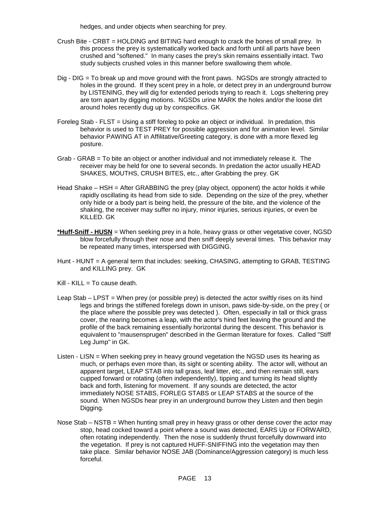hedges, and under objects when searching for prey.

- Crush Bite CRBT = HOLDING and BITING hard enough to crack the bones of small prey. In this process the prey is systematically worked back and forth until all parts have been crushed and "softened." In many cases the prey's skin remains essentially intact. Two study subjects crushed voles in this manner before swallowing them whole.
- Dig DIG = To break up and move ground with the front paws. NGSDs are strongly attracted to holes in the ground. If they scent prey in a hole, or detect prey in an underground burrow by LISTENING, they will dig for extended periods trying to reach it. Logs sheltering prey are torn apart by digging motions. NGSDs urine MARK the holes and/or the loose dirt around holes recently dug up by conspecifics. GK
- Foreleg Stab FLST = Using a stiff foreleg to poke an object or individual. In predation, this behavior is used to TEST PREY for possible aggression and for animation level. Similar behavior PAWING AT in Affilitative/Greeting category, is done with a more flexed leg posture.
- Grab GRAB = To bite an object or another individual and not immediately release it. The receiver may be held for one to several seconds. In predation the actor usually HEAD SHAKES, MOUTHS, CRUSH BITES, etc., after Grabbing the prey. GK
- Head Shake HSH = After GRABBING the prey (play object, opponent) the actor holds it while rapidly oscillating its head from side to side. Depending on the size of the prey, whether only hide or a body part is being held, the pressure of the bite, and the violence of the shaking, the receiver may suffer no injury, minor injuries, serious injuries, or even be KILLED. GK
- **\*Huff-Sniff HUSN** = When seeking prey in a hole, heavy grass or other vegetative cover, NGSD blow forcefully through their nose and then sniff deeply several times. This behavior may be repeated many times, interspersed with DIGGING.
- Hunt HUNT = A general term that includes: seeking, CHASING, attempting to GRAB, TESTING and KILLING prey. GK
- $Kill KILL = To cause death.$
- Leap Stab LPST = When prey (or possible prey) is detected the actor swiftly rises on its hind legs and brings the stiffened forelegs down in unison, paws side-by-side, on the prey ( or the place where the possible prey was detected ). Often, especially in tall or thick grass cover, the rearing becomes a leap, with the actor's hind feet leaving the ground and the profile of the back remaining essentially horizontal during the descent. This behavior is equivalent to "mausensprugen" described in the German literature for foxes. Called "Stiff Leg Jump" in GK.
- Listen LISN = When seeking prey in heavy ground vegetation the NGSD uses its hearing as much, or perhaps even more than, its sight or scenting ability. The actor will, without an apparent target, LEAP STAB into tall grass, leaf litter, etc., and then remain still, ears cupped forward or rotating (often independently), tipping and turning its head slightly back and forth, listening for movement. If any sounds are detected, the actor immediately NOSE STABS, FORLEG STABS or LEAP STABS at the source of the sound. When NGSDs hear prey in an underground burrow they Listen and then begin Digging.
- Nose Stab NSTB = When hunting small prey in heavy grass or other dense cover the actor may stop, head cocked toward a point where a sound was detected, EARS Up or FORWARD, often rotating independently. Then the nose is suddenly thrust forcefully downward into the vegetation. If prey is not captured HUFF-SNIFFING into the vegetation may then take place. Similar behavior NOSE JAB (Dominance/Aggression category) is much less forceful.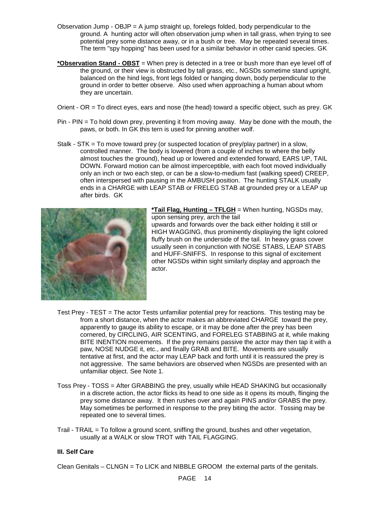- Observation Jump OBJP = A jump straight up, forelegs folded, body perpendicular to the ground. A hunting actor will often observation jump when in tall grass, when trying to see potential prey some distance away, or in a bush or tree. May be repeated several times. The term "spy hopping" has been used for a similar behavior in other canid species. GK
- **\*Observation Stand OBST** = When prey is detected in a tree or bush more than eye level off of the ground, or their view is obstructed by tall grass, etc., NGSDs sometime stand upright, balanced on the hind legs, front legs folded or hanging down, body perpendicular to the ground in order to better observe. Also used when approaching a human about whom they are uncertain.
- Orient OR = To direct eyes, ears and nose (the head) toward a specific object, such as prey. GK
- Pin PIN = To hold down prey, preventing it from moving away. May be done with the mouth, the paws, or both. In GK this tern is used for pinning another wolf.
- Stalk STK = To move toward prey (or suspected location of prey/play partner) in a slow, controlled manner. The body is lowered (from a couple of inches to where the belly almost touches the ground), head up or lowered and extended forward, EARS UP, TAIL DOWN. Forward motion can be almost imperceptible, with each foot moved individually only an inch or two each step, or can be a slow-to-medium fast (walking speed) CREEP, often interspersed with pausing in the AMBUSH position. The hunting STALK usually ends in a CHARGE with LEAP STAB or FRELEG STAB at grounded prey or a LEAP up after birds. GK



**\*Tail Flag, Hunting – TFLGH** = When hunting, NGSDs may, upon sensing prey, arch the tail

upwards and forwards over the back either holding it still or HIGH WAGGING, thus prominently displaying the light colored fluffy brush on the underside of the tail. In heavy grass cover usually seen in conjunction with NOSE STABS, LEAP STABS and HUFF-SNIFFS. In response to this signal of excitement other NGSDs within sight similarly display and approach the actor.

- Test Prey TEST = The actor Tests unfamiliar potential prey for reactions. This testing may be from a short distance, when the actor makes an abbreviated CHARGE toward the prey, apparently to gauge its ability to escape, or it may be done after the prey has been cornered, by CIRCLING, AIR SCENTING, and FORELEG STABBING at it, while making BITE INENTION movements. If the prey remains passive the actor may then tap it with a paw, NOSE NUDGE it, etc., and finally GRAB and BITE. Movements are usually tentative at first, and the actor may LEAP back and forth until it is reassured the prey is not aggressive. The same behaviors are observed when NGSDs are presented with an unfamiliar object. See Note 1.
- Toss Prey TOSS = After GRABBING the prey, usually while HEAD SHAKING but occasionally in a discrete action, the actor flicks its head to one side as it opens its mouth, flinging the prey some distance away. It then rushes over and again PINS and/or GRABS the prey. May sometimes be performed in response to the prey biting the actor. Tossing may be repeated one to several times.
- Trail TRAIL = To follow a ground scent, sniffing the ground, bushes and other vegetation, usually at a WALK or slow TROT with TAIL FLAGGING.

# **III. Self Care**

Clean Genitals – CLNGN = To LICK and NIBBLE GROOM the external parts of the genitals.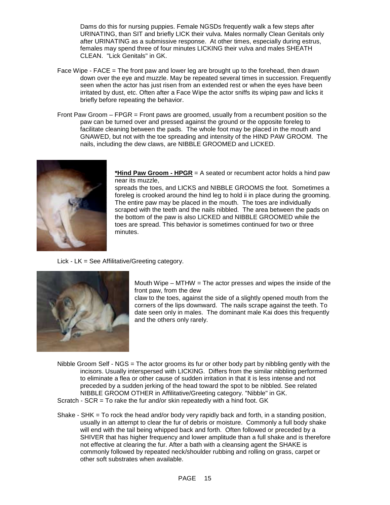Dams do this for nursing puppies. Female NGSDs frequently walk a few steps after URINATING, than SIT and briefly LICK their vulva. Males normally Clean Genitals only after URINATING as a submissive response. At other times, especially during estrus, females may spend three of four minutes LICKING their vulva and males SHEATH CLEAN. "Lick Genitals" in GK.

- Face Wipe FACE = The front paw and lower leg are brought up to the forehead, then drawn down over the eye and muzzle. May be repeated several times in succession. Frequently seen when the actor has just risen from an extended rest or when the eyes have been irritated by dust, etc. Often after a Face Wipe the actor sniffs its wiping paw and licks it briefly before repeating the behavior.
- Front Paw Groom FPGR = Front paws are groomed, usually from a recumbent position so the paw can be turned over and pressed against the ground or the opposite foreleg to facilitate cleaning between the pads. The whole foot may be placed in the mouth and GNAWED, but not with the toe spreading and intensity of the HIND PAW GROOM. The nails, including the dew claws, are NIBBLE GROOMED and LICKED.



**\*Hind Paw Groom - HPGR** = A seated or recumbent actor holds a hind paw near its muzzle,

spreads the toes, and LICKS and NIBBLE GROOMS the foot. Sometimes a foreleg is crooked around the hind leg to hold ii in place during the grooming. The entire paw may be placed in the mouth. The toes are individually scraped with the teeth and the nails nibbled. The area between the pads on the bottom of the paw is also LICKED and NIBBLE GROOMED while the toes are spread. This behavior is sometimes continued for two or three minutes.

Lick - LK = See Affilitative/Greeting category.



Mouth Wipe – MTHW = The actor presses and wipes the inside of the front paw, from the dew

claw to the toes, against the side of a slightly opened mouth from the corners of the lips downward. The nails scrape against the teeth. To date seen only in males. The dominant male Kai does this frequently and the others only rarely.

- Nibble Groom Self NGS = The actor grooms its fur or other body part by nibbling gently with the incisors. Usually interspersed with LICKING. Differs from the similar nibbling performed to eliminate a flea or other cause of sudden irritation in that it is less intense and not preceded by a sudden jerking of the head toward the spot to be nibbled. See related NIBBLE GROOM OTHER in Affilitative/Greeting category. "Nibble" in GK. Scratch - SCR = To rake the fur and/or skin repeatedly with a hind foot. GK
- Shake SHK = To rock the head and/or body very rapidly back and forth, in a standing position, usually in an attempt to clear the fur of debris or moisture. Commonly a full body shake will end with the tail being whipped back and forth. Often followed or preceded by a SHIVER that has higher frequency and lower amplitude than a full shake and is therefore not effective at clearing the fur. After a bath with a cleansing agent the SHAKE is commonly followed by repeated neck/shoulder rubbing and rolling on grass, carpet or other soft substrates when available.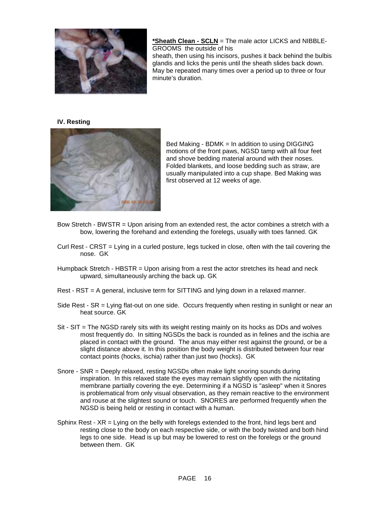

**\*Sheath Clean - SCLN** = The male actor LICKS and NIBBLE-GROOMS the outside of his

sheath, then using his incisors, pushes it back behind the bulbis glandis and licks the penis until the sheath slides back down. May be repeated many times over a period up to three or four minute's duration.

#### **IV. Resting**



Bed Making - BDMK = In addition to using DIGGING motions of the front paws, NGSD tamp with all four feet and shove bedding material around with their noses. Folded blankets, and loose bedding such as straw, are usually manipulated into a cup shape. Bed Making was first observed at 12 weeks of age.

- Bow Stretch BWSTR = Upon arising from an extended rest, the actor combines a stretch with a bow, lowering the forehand and extending the forelegs, usually with toes fanned. GK
- Curl Rest CRST = Lying in a curled posture, legs tucked in close, often with the tail covering the nose. GK
- Humpback Stretch HBSTR = Upon arising from a rest the actor stretches its head and neck upward, simultaneously arching the back up. GK
- Rest RST = A general, inclusive term for SITTING and lying down in a relaxed manner.
- Side Rest SR = Lying flat-out on one side. Occurs frequently when resting in sunlight or near an heat source. GK
- Sit SIT = The NGSD rarely sits with its weight resting mainly on its hocks as DDs and wolves most frequently do. In sitting NGSDs the back is rounded as in felines and the ischia are placed in contact with the ground. The anus may either rest against the ground, or be a slight distance above it. In this position the body weight is distributed between four rear contact points (hocks, ischia) rather than just two (hocks). GK
- Snore SNR = Deeply relaxed, resting NGSDs often make light snoring sounds during inspiration. In this relaxed state the eyes may remain slightly open with the nictitating membrane partially covering the eye. Determining if a NGSD is "asleep" when it Snores is problematical from only visual observation, as they remain reactive to the environment and rouse at the slightest sound or touch. SNORES are performed frequently when the NGSD is being held or resting in contact with a human.
- Sphinx Rest XR = Lying on the belly with forelegs extended to the front, hind legs bent and resting close to the body on each respective side, or with the body twisted and both hind legs to one side. Head is up but may be lowered to rest on the forelegs or the ground between them. GK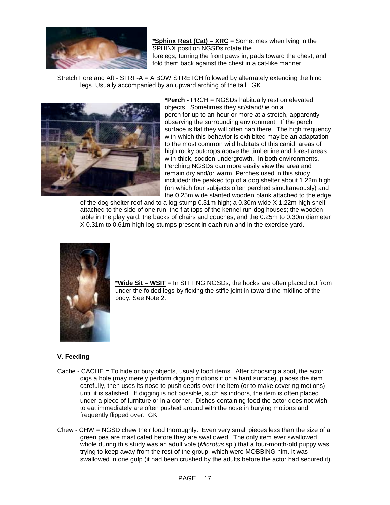

**\*Sphinx Rest (Cat) – XRC** = Sometimes when lying in the SPHINX position NGSDs rotate the forelegs, turning the front paws in, pads toward the chest, and fold them back against the chest in a cat-like manner.

Stretch Fore and Aft - STRF-A = A BOW STRETCH followed by alternately extending the hind legs. Usually accompanied by an upward arching of the tail. GK



**\*Perch -** PRCH = NGSDs habitually rest on elevated objects. Sometimes they sit/stand/lie on a perch for up to an hour or more at a stretch, apparently observing the surrounding environment. If the perch surface is flat they will often nap there. The high frequency with which this behavior is exhibited may be an adaptation to the most common wild habitats of this canid: areas of high rocky outcrops above the timberline and forest areas with thick, sodden undergrowth. In both environments, Perching NGSDs can more easily view the area and remain dry and/or warm. Perches used in this study included: the peaked top of a dog shelter about 1.22m high (on which four subjects often perched simultaneously) and the 0.25m wide slanted wooden plank attached to the edge

of the dog shelter roof and to a log stump 0.31m high; a 0.30m wide X 1.22m high shelf attached to the side of one run; the flat tops of the kennel run dog houses; the wooden table in the play yard; the backs of chairs and couches; and the 0.25m to 0.30m diameter X 0.31m to 0.61m high log stumps present in each run and in the exercise yard.



**\*Wide Sit – WSIT** = In SITTING NGSDs, the hocks are often placed out from under the folded legs by flexing the stifle joint in toward the midline of the body. See Note 2.

# **V. Feeding**

- Cache CACHE = To hide or bury objects, usually food items. After choosing a spot, the actor digs a hole (may merely perform digging motions if on a hard surface), places the item carefully, then uses its nose to push debris over the item (or to make covering motions) until it is satisfied. If digging is not possible, such as indoors, the item is often placed under a piece of furniture or in a corner. Dishes containing food the actor does not wish to eat immediately are often pushed around with the nose in burying motions and frequently flipped over. GK
- Chew CHW = NGSD chew their food thoroughly. Even very small pieces less than the size of a green pea are masticated before they are swallowed. The only item ever swallowed whole during this study was an adult vole (*Microtus* sp.) that a four-month-old puppy was trying to keep away from the rest of the group, which were MOBBING him. It was swallowed in one gulp (it had been crushed by the adults before the actor had secured it).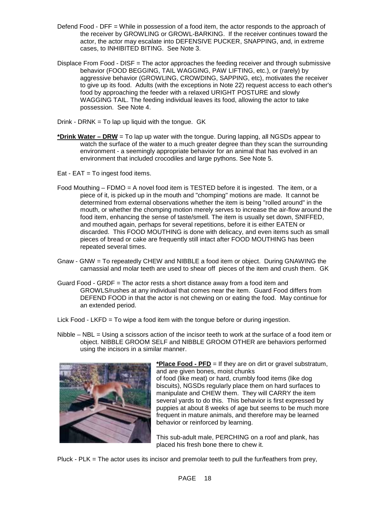- Defend Food DFF = While in possession of a food item, the actor responds to the approach of the receiver by GROWLING or GROWL-BARKING. If the receiver continues toward the actor, the actor may escalate into DEFENSIVE PUCKER, SNAPPING, and, in extreme cases, to INHIBITED BITING. See Note 3.
- Displace From Food DISF = The actor approaches the feeding receiver and through submissive behavior (FOOD BEGGING, TAIL WAGGING, PAW LIFTING, etc.), or (rarely) by aggressive behavior (GROWLING, CROWDING, SAPPING, etc), motivates the receiver to give up its food. Adults (with the exceptions in Note 22) request access to each other's food by approaching the feeder with a relaxed URIGHT POSTURE and slowly WAGGING TAIL. The feeding individual leaves its food, allowing the actor to take possession. See Note 4.
- Drink DRNK = To lap up liquid with the tongue.  $GK$
- **\*Drink Water DRW** = To lap up water with the tongue. During lapping, all NGSDs appear to watch the surface of the water to a much greater degree than they scan the surrounding environment - a seemingly appropriate behavior for an animal that has evolved in an environment that included crocodiles and large pythons. See Note 5.
- Eat EAT = To ingest food items.
- Food Mouthing FDMO = A novel food item is TESTED before it is ingested. The item, or a piece of it, is picked up in the mouth and "chomping" motions are made. It cannot be determined from external observations whether the item is being "rolled around" in the mouth, or whether the chomping motion merely serves to increase the air-flow around the food item, enhancing the sense of taste/smell. The item is usually set down, SNIFFED, and mouthed again, perhaps for several repetitions, before it is either EATEN or discarded. This FOOD MOUTHING is done with delicacy, and even items such as small pieces of bread or cake are frequently still intact after FOOD MOUTHING has been repeated several times.
- Gnaw GNW = To repeatedly CHEW and NIBBLE a food item or object. During GNAWING the carnassial and molar teeth are used to shear off pieces of the item and crush them. GK
- Guard Food GRDF = The actor rests a short distance away from a food item and GROWLS/rushes at any individual that comes near the item. Guard Food differs from DEFEND FOOD in that the actor is not chewing on or eating the food. May continue for an extended period.
- Lick Food LKFD = To wipe a food item with the tongue before or during ingestion.
- Nibble NBL = Using a scissors action of the incisor teeth to work at the surface of a food item or object. NIBBLE GROOM SELF and NIBBLE GROOM OTHER are behaviors performed using the incisors in a similar manner.



**\*Place Food - PFD** = If they are on dirt or gravel substratum, and are given bones, moist chunks of food (like meat) or hard, crumbly food items (like dog biscuits), NGSDs regularly place them on hard surfaces to manipulate and CHEW them. They will CARRY the item several yards to do this. This behavior is first expressed by puppies at about 8 weeks of age but seems to be much more frequent in mature animals, and therefore may be learned behavior or reinforced by learning.

This sub-adult male, PERCHING on a roof and plank, has placed his fresh bone there to chew it.

Pluck - PLK = The actor uses its incisor and premolar teeth to pull the fur/feathers from prey,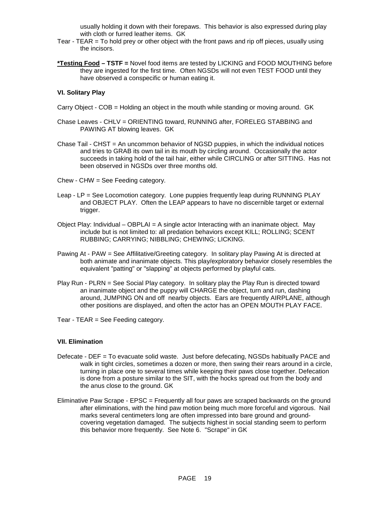usually holding it down with their forepaws. This behavior is also expressed during play with cloth or furred leather items. GK

- Tear TEAR = To hold prey or other object with the front paws and rip off pieces, usually using the incisors.
- **\*Testing Food TSTF =** Novel food items are tested by LICKING and FOOD MOUTHING before they are ingested for the first time. Often NGSDs will not even TEST FOOD until they have observed a conspecific or human eating it.

#### **VI. Solitary Play**

- Carry Object COB = Holding an object in the mouth while standing or moving around. GK
- Chase Leaves CHLV = ORIENTING toward, RUNNING after, FORELEG STABBING and PAWING AT blowing leaves. GK
- Chase Tail CHST = An uncommon behavior of NGSD puppies, in which the individual notices and tries to GRAB its own tail in its mouth by circling around. Occasionally the actor succeeds in taking hold of the tail hair, either while CIRCLING or after SITTING. Has not been observed in NGSDs over three months old.
- Chew CHW = See Feeding category.
- Leap LP = See Locomotion category. Lone puppies frequently leap during RUNNING PLAY and OBJECT PLAY. Often the LEAP appears to have no discernible target or external trigger.
- Object Play: Individual OBPLAI = A single actor Interacting with an inanimate object. May include but is not limited to: all predation behaviors except KILL; ROLLING; SCENT RUBBING; CARRYING; NIBBLING; CHEWING; LICKING.
- Pawing At PAW = See Affilitative/Greeting category. In solitary play Pawing At is directed at both animate and inanimate objects. This play/exploratory behavior closely resembles the equivalent "patting" or "slapping" at objects performed by playful cats.
- Play Run PLRN = See Social Play category. In solitary play the Play Run is directed toward an inanimate object and the puppy will CHARGE the object, turn and run, dashing around, JUMPING ON and off nearby objects. Ears are frequently AIRPLANE, although other positions are displayed, and often the actor has an OPEN MOUTH PLAY FACE.
- Tear TEAR = See Feeding category.

#### **VII. Elimination**

- Defecate DEF = To evacuate solid waste. Just before defecating, NGSDs habitually PACE and walk in tight circles, sometimes a dozen or more, then swing their rears around in a circle, turning in place one to several times while keeping their paws close together. Defecation is done from a posture similar to the SIT, with the hocks spread out from the body and the anus close to the ground. GK
- Eliminative Paw Scrape EPSC = Frequently all four paws are scraped backwards on the ground after eliminations, with the hind paw motion being much more forceful and vigorous. Nail marks several centimeters long are often impressed into bare ground and groundcovering vegetation damaged. The subjects highest in social standing seem to perform this behavior more frequently. See Note 6. "Scrape" in GK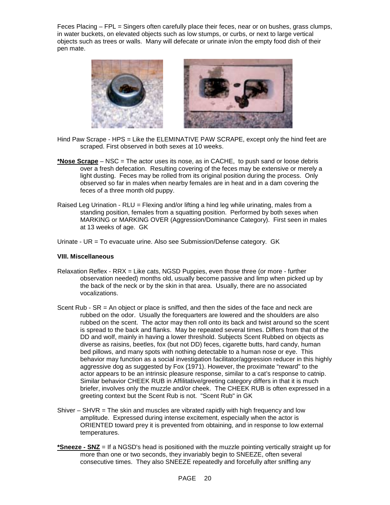Feces Placing – FPL = Singers often carefully place their feces, near or on bushes, grass clumps, in water buckets, on elevated objects such as low stumps, or curbs, or next to large vertical objects such as trees or walls. Many will defecate or urinate in/on the empty food dish of their pen mate.



- Hind Paw Scrape HPS = Like the ELEMINATIVE PAW SCRAPE, except only the hind feet are scraped. First observed in both sexes at 10 weeks.
- **\*Nose Scrape** NSC = The actor uses its nose, as in CACHE, to push sand or loose debris over a fresh defecation. Resulting covering of the feces may be extensive or merely a light dusting. Feces may be rolled from its original position during the process. Only observed so far in males when nearby females are in heat and in a dam covering the feces of a three month old puppy.
- Raised Leg Urination RLU = Flexing and/or lifting a hind leg while urinating, males from a standing position, females from a squatting position. Performed by both sexes when MARKING or MARKING OVER (Aggression/Dominance Category). First seen in males at 13 weeks of age. GK
- Urinate UR = To evacuate urine. Also see Submission/Defense category. GK

#### **VIII. Miscellaneous**

- Relaxation Reflex RRX = Like cats, NGSD Puppies, even those three (or more further observation needed) months old, usually become passive and limp when picked up by the back of the neck or by the skin in that area. Usually, there are no associated vocalizations.
- Scent Rub SR = An object or place is sniffed, and then the sides of the face and neck are rubbed on the odor. Usually the forequarters are lowered and the shoulders are also rubbed on the scent. The actor may then roll onto its back and twist around so the scent is spread to the back and flanks. May be repeated several times. Differs from that of the DD and wolf, mainly in having a lower threshold. Subjects Scent Rubbed on objects as diverse as raisins, beetles, fox (but not DD) feces, cigarette butts, hard candy, human bed pillows, and many spots with nothing detectable to a human nose or eye. This behavior may function as a social investigation facilitator/aggression reducer in this highly aggressive dog as suggested by Fox (1971). However, the proximate "reward" to the actor appears to be an intrinsic pleasure response, similar to a cat's response to catnip. Similar behavior CHEEK RUB in Affilitative/greeting category differs in that it is much briefer, involves only the muzzle and/or cheek. The CHEEK RUB is often expressed in a greeting context but the Scent Rub is not. "Scent Rub" in GK
- Shiver  $-$  SHVR  $=$  The skin and muscles are vibrated rapidly with high frequency and low amplitude. Expressed during intense excitement, especially when the actor is ORIENTED toward prey it is prevented from obtaining, and in response to low external temperatures.
- **\*Sneeze SNZ** = If a NGSD's head is positioned with the muzzle pointing vertically straight up for more than one or two seconds, they invariably begin to SNEEZE, often several consecutive times. They also SNEEZE repeatedly and forcefully after sniffing any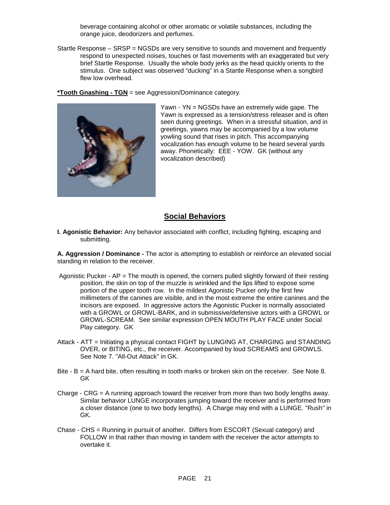beverage containing alcohol or other aromatic or volatile substances, including the orange juice, deodorizers and perfumes.

Startle Response – SRSP = NGSDs are very sensitive to sounds and movement and frequently respond to unexpected noises, touches or fast movements with an exaggerated but very brief Startle Response. Usually the whole body jerks as the head quickly orients to the stimulus. One subject was observed "ducking" in a Startle Response when a songbird flew low overhead.

**\*Tooth Gnashing - TGN** = see Aggression/Dominance category.



Yawn - YN = NGSDs have an extremely wide gape. The Yawn is expressed as a tension/stress releaser and is often seen during greetings. When in a stressful situation, and in greetings, yawns may be accompanied by a low volume yowling sound that rises in pitch. This accompanying vocalization has enough volume to be heard several yards away. Phonetically: EEE - YOW. GK (without any vocalization described)

# **Social Behaviors**

**I. Agonistic Behavior:** Any behavior associated with conflict, including fighting, escaping and submitting.

**A. Aggression / Dominance -** The actor is attempting to establish or reinforce an elevated social standing in relation to the receiver.

- Agonistic Pucker  $AP = The$  mouth is opened, the corners pulled slightly forward of their resting position, the skin on top of the muzzle is wrinkled and the lips lifted to expose some portion of the upper tooth row. In the mildest Agonistic Pucker only the first few millimeters of the canines are visible, and in the most extreme the entire canines and the incisors are exposed. In aggressive actors the Agonistic Pucker is normally associated with a GROWL or GROWL-BARK, and in submissive/defensive actors with a GROWL or GROWL-SCREAM. See similar expression OPEN MOUTH PLAY FACE under Social Play category. GK
- Attack ATT = Initiating a physical contact FIGHT by LUNGING AT, CHARGING and STANDING OVER, or BITING, etc., the receiver. Accompanied by loud SCREAMS and GROWLS. See Note 7. "All-Out Attack" in GK.
- Bite B = A hard bite, often resulting in tooth marks or broken skin on the receiver. See Note 8. GK
- Charge CRG = A running approach toward the receiver from more than two body lengths away. Similar behavior LUNGE incorporates jumping toward the receiver and is performed from a closer distance (one to two body lengths). A Charge may end with a LUNGE. "Rush" in GK.
- Chase CHS = Running in pursuit of another. Differs from ESCORT (Sexual category) and FOLLOW in that rather than moving in tandem with the receiver the actor attempts to overtake it.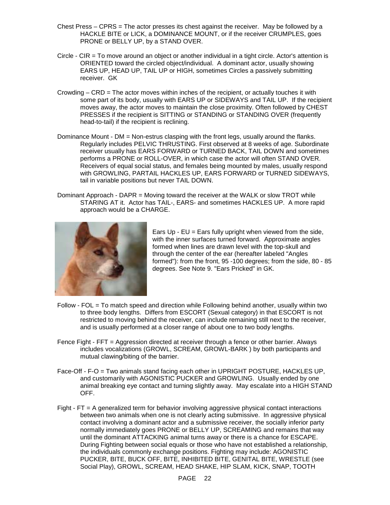- Chest Press CPRS = The actor presses its chest against the receiver. May be followed by a HACKLE BITE or LICK, a DOMINANCE MOUNT, or if the receiver CRUMPLES, goes PRONE or BELLY UP, by a STAND OVER.
- Circle CIR = To move around an object or another individual in a tight circle. Actor's attention is ORIENTED toward the circled object/individual. A dominant actor, usually showing EARS UP, HEAD UP, TAIL UP or HIGH, sometimes Circles a passively submitting receiver. GK
- Crowding  $-$  CRD = The actor moves within inches of the recipient, or actually touches it with some part of its body, usually with EARS UP or SIDEWAYS and TAIL UP. If the recipient moves away, the actor moves to maintain the close proximity. Often followed by CHEST PRESSES if the recipient is SITTING or STANDING or STANDING OVER (frequently head-to-tail) if the recipient is reclining.
- Dominance Mount DM = Non-estrus clasping with the front legs, usually around the flanks. Regularly includes PELVIC THRUSTING. First observed at 8 weeks of age. Subordinate receiver usually has EARS FORWARD or TURNED BACK, TAIL DOWN and sometimes performs a PRONE or ROLL-OVER, in which case the actor will often STAND OVER. Receivers of equal social status, and females being mounted by males, usually respond with GROWLING, PARTAIL HACKLES UP, EARS FORWARD or TURNED SIDEWAYS, tail in variable positions but never TAIL DOWN.
- Dominant Approach DAPR = Moving toward the receiver at the WALK or slow TROT while STARING AT it. Actor has TAIL-, EARS- and sometimes HACKLES UP. A more rapid approach would be a CHARGE.



Ears  $Up - EU = Ears$  fully upright when viewed from the side, with the inner surfaces turned forward. Approximate angles formed when lines are drawn level with the top-skull and through the center of the ear (hereafter labeled "Angles formed"): from the front, 95 -100 degrees; from the side, 80 - 85 degrees. See Note 9. "Ears Pricked" in GK.

- Follow FOL = To match speed and direction while Following behind another, usually within two to three body lengths. Differs from ESCORT (Sexual category) in that ESCORT is not restricted to moving behind the receiver, can include remaining still next to the receiver, and is usually performed at a closer range of about one to two body lengths.
- Fence Fight FFT = Aggression directed at receiver through a fence or other barrier. Always includes vocalizations (GROWL, SCREAM, GROWL-BARK ) by both participants and mutual clawing/biting of the barrier.
- Face-Off F-O = Two animals stand facing each other in UPRIGHT POSTURE, HACKLES UP, and customarily with AGONISTIC PUCKER and GROWLING. Usually ended by one animal breaking eye contact and turning slightly away. May escalate into a HIGH STAND OFF.
- Fight FT = A generalized term for behavior involving aggressive physical contact interactions between two animals when one is not clearly acting submissive. In aggressive physical contact involving a dominant actor and a submissive receiver, the socially inferior party normally immediately goes PRONE or BELLY UP, SCREAMING and remains that way until the dominant ATTACKING animal turns away or there is a chance for ESCAPE. During Fighting between social equals or those who have not established a relationship, the individuals commonly exchange positions. Fighting may include: AGONISTIC PUCKER, BITE, BUCK OFF, BITE, INHIBITED BITE, GENITAL BITE, WRESTLE (see Social Play), GROWL, SCREAM, HEAD SHAKE, HIP SLAM, KICK, SNAP, TOOTH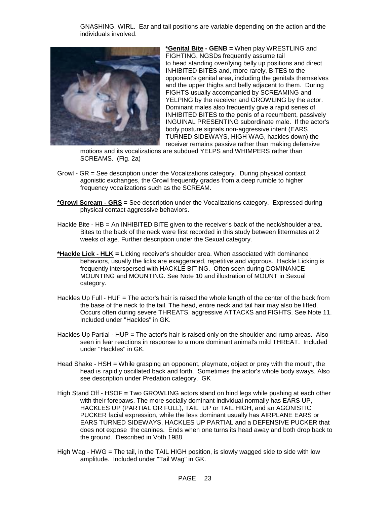GNASHING, WIRL. Ear and tail positions are variable depending on the action and the individuals involved.



**\*Genital Bite - GENB =** When play WRESTLING and FIGHTING, NGSDs frequently assume tail to head standing over/lying belly up positions and direct INHIBITED BITES and, more rarely, BITES to the opponent's genital area, including the genitals themselves and the upper thighs and belly adjacent to them. During FIGHTS usually accompanied by SCREAMING and YELPING by the receiver and GROWLING by the actor. Dominant males also frequently give a rapid series of INHIBITED BITES to the penis of a recumbent, passively INGUINAL PRESENTING subordinate male. If the actor's body posture signals non-aggressive intent (EARS TURNED SIDEWAYS, HIGH WAG, hackles down) the receiver remains passive rather than making defensive

motions and its vocalizations are subdued YELPS and WHIMPERS rather than SCREAMS. (Fig. 2a)

- Growl GR = See description under the Vocalizations category. During physical contact agonistic exchanges, the Growl frequently grades from a deep rumble to higher frequency vocalizations such as the SCREAM.
- **\*Growl Scream GRS =** See description under the Vocalizations category. Expressed during physical contact aggressive behaviors.
- Hackle Bite HB = An INHIBITED BITE given to the receiver's back of the neck/shoulder area. Bites to the back of the neck were first recorded in this study between littermates at 2 weeks of age. Further description under the Sexual category.
- **\*Hackle Lick HLK =** Licking receiver's shoulder area. When associated with dominance behaviors, usually the licks are exaggerated, repetitive and vigorous. Hackle Licking is frequently interspersed with HACKLE BITING. Often seen during DOMINANCE MOUNTING and MOUNTING. See Note 10 and illustration of MOUNT in Sexual category.
- Hackles Up Full HUF = The actor's hair is raised the whole length of the center of the back from the base of the neck to the tail. The head, entire neck and tail hair may also be lifted. Occurs often during severe THREATS, aggressive ATTACKS and FIGHTS. See Note 11. Included under "Hackles" in GK.
- Hackles Up Partial HUP = The actor's hair is raised only on the shoulder and rump areas. Also seen in fear reactions in response to a more dominant animal's mild THREAT. Included under "Hackles" in GK.
- Head Shake HSH = While grasping an opponent, playmate, object or prey with the mouth, the head is rapidly oscillated back and forth. Sometimes the actor's whole body sways. Also see description under Predation category. GK
- High Stand Off HSOF **=** Two GROWLING actors stand on hind legs while pushing at each other with their forepaws. The more socially dominant individual normally has EARS UP, HACKLES UP (PARTIAL OR FULL), TAIL UP or TAIL HIGH, and an AGONISTIC PUCKER facial expression, while the less dominant usually has AIRPLANE EARS or EARS TURNED SIDEWAYS, HACKLES UP PARTIAL and a DEFENSIVE PUCKER that does not expose the canines. Ends when one turns its head away and both drop back to the ground. Described in Voth 1988.
- High Wag HWG = The tail, in the TAIL HIGH position, is slowly wagged side to side with low amplitude. Included under "Tail Wag" in GK.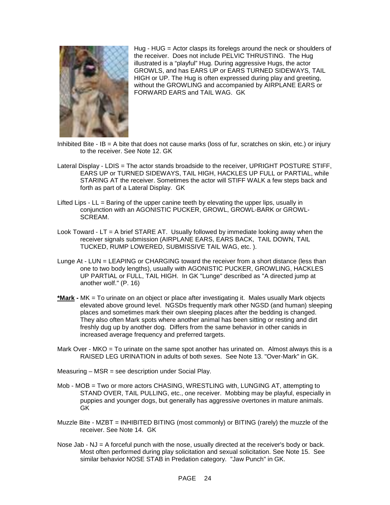

Hug - HUG = Actor clasps its forelegs around the neck or shoulders of the receiver. Does not include PELVIC THRUSTING. The Hug illustrated is a "playful" Hug. During aggressive Hugs, the actor GROWLS, and has EARS UP or EARS TURNED SIDEWAYS, TAIL HIGH or UP. The Hug is often expressed during play and greeting, without the GROWLING and accompanied by AIRPLANE EARS or FORWARD EARS and TAIL WAG. GK

- Inhibited Bite  $IB = A$  bite that does not cause marks (loss of fur, scratches on skin, etc.) or injury to the receiver. See Note 12. GK
- Lateral Display LDIS = The actor stands broadside to the receiver, UPRIGHT POSTURE STIFF, EARS UP or TURNED SIDEWAYS, TAIL HIGH, HACKLES UP FULL or PARTIAL, while STARING AT the receiver. Sometimes the actor will STIFF WALK a few steps back and forth as part of a Lateral Display. GK
- Lifted Lips  $LL =$  Baring of the upper canine teeth by elevating the upper lips, usually in conjunction with an AGONISTIC PUCKER, GROWL, GROWL-BARK or GROWL-SCREAM.
- Look Toward LT = A brief STARE AT. Usually followed by immediate looking away when the receiver signals submission (AIRPLANE EARS, EARS BACK, TAIL DOWN, TAIL TUCKED, RUMP LOWERED, SUBMISSIVE TAIL WAG, etc. ).
- Lunge At LUN = LEAPING or CHARGING toward the receiver from a short distance (less than one to two body lengths), usually with AGONISTIC PUCKER, GROWLING, HACKLES UP PARTIAL or FULL, TAIL HIGH. In GK "Lunge" described as "A directed jump at another wolf." (P. 16)
- **\*Mark -** MK = To urinate on an object or place after investigating it. Males usually Mark objects elevated above ground level. NGSDs frequently mark other NGSD (and human) sleeping places and sometimes mark their own sleeping places after the bedding is changed. They also often Mark spots where another animal has been sitting or resting and dirt freshly dug up by another dog. Differs from the same behavior in other canids in increased average frequency and preferred targets.
- Mark Over MKO = To urinate on the same spot another has urinated on. Almost always this is a RAISED LEG URINATION in adults of both sexes. See Note 13. "Over-Mark" in GK.
- Measuring MSR = see description under Social Play.
- Mob MOB = Two or more actors CHASING, WRESTLING with, LUNGING AT, attempting to STAND OVER, TAIL PULLING, etc., one receiver. Mobbing may be playful, especially in puppies and younger dogs, but generally has aggressive overtones in mature animals. GK
- Muzzle Bite MZBT = INHIBITED BITING (most commonly) or BITING (rarely) the muzzle of the receiver. See Note 14. GK
- Nose Jab NJ = A forceful punch with the nose, usually directed at the receiver's body or back. Most often performed during play solicitation and sexual solicitation. See Note 15. See similar behavior NOSE STAB in Predation category. "Jaw Punch" in GK.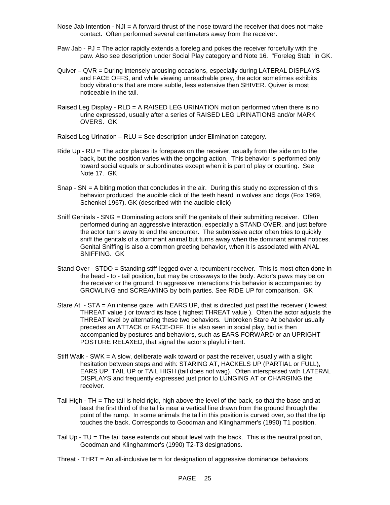- Nose Jab Intention  $NJI = A$  forward thrust of the nose toward the receiver that does not make contact. Often performed several centimeters away from the receiver.
- Paw Jab PJ = The actor rapidly extends a foreleg and pokes the receiver forcefully with the paw. Also see description under Social Play category and Note 16. "Foreleg Stab" in GK.
- Quiver QVR = During intensely arousing occasions, especially during LATERAL DISPLAYS and FACE OFFS, and while viewing unreachable prey, the actor sometimes exhibits body vibrations that are more subtle, less extensive then SHIVER. Quiver is most noticeable in the tail.
- Raised Leg Display RLD = A RAISED LEG URINATION motion performed when there is no urine expressed, usually after a series of RAISED LEG URINATIONS and/or MARK OVERS. GK

Raised Leg Urination – RLU = See description under Elimination category.

- Ride Up RU = The actor places its forepaws on the receiver, usually from the side on to the back, but the position varies with the ongoing action. This behavior is performed only toward social equals or subordinates except when it is part of play or courting. See Note 17. GK
- Snap  $-$  SN  $=$  A biting motion that concludes in the air. During this study no expression of this behavior produced the audible click of the teeth heard in wolves and dogs (Fox 1969, Schenkel 1967). GK (described with the audible click)
- Sniff Genitals SNG = Dominating actors sniff the genitals of their submitting receiver. Often performed during an aggressive interaction, especially a STAND OVER, and just before the actor turns away to end the encounter. The submissive actor often tries to quickly sniff the genitals of a dominant animal but turns away when the dominant animal notices. Genital Sniffing is also a common greeting behavior, when it is associated with ANAL SNIFFING. GK
- Stand Over STDO = Standing stiff-legged over a recumbent receiver. This is most often done in the head - to - tail position, but may be crossways to the body. Actor's paws may be on the receiver or the ground. In aggressive interactions this behavior is accompanied by GROWLING and SCREAMING by both parties. See RIDE UP for comparison. GK
- Stare At STA = An intense gaze, with EARS UP, that is directed just past the receiver ( lowest THREAT value ) or toward its face ( highest THREAT value ). Often the actor adjusts the THREAT level by alternating these two behaviors. Unbroken Stare At behavior usually precedes an ATTACK or FACE-OFF. It is also seen in social play, but is then accompanied by postures and behaviors, such as EARS FORWARD or an UPRIGHT POSTURE RELAXED, that signal the actor's playful intent.
- Stiff Walk SWK = A slow, deliberate walk toward or past the receiver, usually with a slight hesitation between steps and with: STARING AT, HACKELS UP (PARTIAL or FULL), EARS UP, TAIL UP or TAIL HIGH (tail does not wag). Often interspersed with LATERAL DISPLAYS and frequently expressed just prior to LUNGING AT or CHARGING the receiver.
- Tail High TH = The tail is held rigid, high above the level of the back, so that the base and at least the first third of the tail is near a vertical line drawn from the ground through the point of the rump. In some animals the tail in this position is curved over, so that the tip touches the back. Corresponds to Goodman and Klinghammer's (1990) T1 position.
- Tail Up TU = The tail base extends out about level with the back. This is the neutral position, Goodman and Klinghammer's (1990) T2-T3 designations.
- Threat THRT  $=$  An all-inclusive term for designation of aggressive dominance behaviors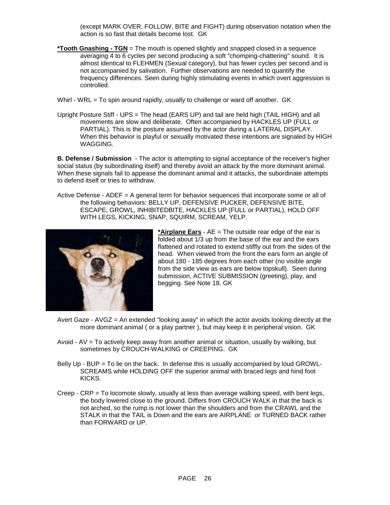(except MARK OVER, FOLLOW, BITE and FIGHT) during observation notation when the action is so fast that details become lost. GK

- **\*Tooth Gnashing TGN** = The mouth is opened slightly and snapped closed in a sequence averaging 4 to 6 cycles per second producing a soft "chomping-chattering" sound. It is almost identical to FLEHMEN (Sexual category), but has fewer cycles per second and is not accompanied by salivation. Further observations are needed to quantify the frequency differences. Seen during highly stimulating events in which overt aggression is controlled.
- Whirl WRL = To spin around rapidly, usually to challenge or ward off another. GK
- Upright Posture Stiff UPS = The head (EARS UP) and tail are held high (TAIL HIGH) and all movements are slow and deliberate. Often accompanied by HACKLES UP (FULL or PARTIAL). This is the posture assumed by the actor during a LATERAL DISPLAY. When this behavior is playful or sexually motivated these intentions are signaled by HIGH WAGGING.

**B. Defense / Submission** - The actor is attempting to signal acceptance of the receiver's higher social status (by subordinating itself) and thereby avoid an attack by the more dominant animal. When these signals fail to appease the dominant animal and it attacks, the subordinate attempts to defend itself or tries to withdraw.

Active Defense - ADEF = A general term for behavior sequences that incorporate some or all of the following behaviors: BELLY UP, DEFENSIVE PUCKER, DEFENSIVE BITE, ESCAPE, GROWL, INHIBITEDBITE, HACKLES UP (FULL or PARTIAL), HOLD OFF WITH LEGS, KICKING, SNAP, SQUIRM, SCREAM, YELP.



**\*Airplane Ears** - AE = The outside rear edge of the ear is folded about  $1/3$  up from the base of the ear and the ears flattened and rotated to extend stiffly out from the sides of the head. When viewed from the front the ears form an angle of about 180 - 185 degrees from each other (no visible angle from the side view as ears are below topskull). Seen during submission, ACTIVE SUBMISSION (greeting), play, and begging. See Note 18. GK

- Avert Gaze AVGZ = An extended "looking away" in which the actor avoids looking directly at the more dominant animal ( or a play partner ), but may keep it in peripheral vision. GK
- Avoid AV = To actively keep away from another animal or situation, usually by walking, but sometimes by CROUCH-WALKING or CREEPING. GK
- Belly Up BUP = To lie on the back. In defense this is usually accompanied by loud GROWL-SCREAMS while HOLDING OFF the superior animal with braced legs and hind foot KICKS.
- Creep CRP = To locomote slowly, usually at less than average walking speed, with bent legs, the body lowered close to the ground. Differs from CROUCH WALK in that the back is not arched, so the rump is not lower than the shoulders and from the CRAWL and the STALK in that the TAIL is Down and the ears are AIRPLANE or TURNED BACK rather than FORWARD or UP.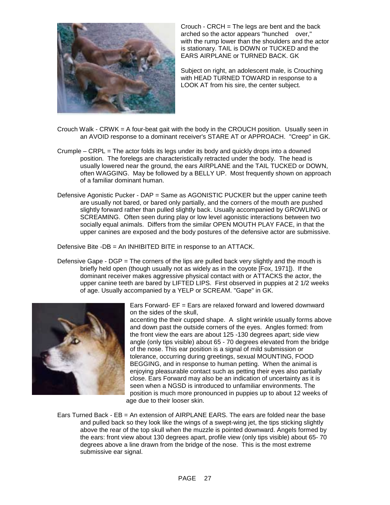

Crouch - CRCH = The legs are bent and the back arched so the actor appears "hunched over," with the rump lower than the shoulders and the actor is stationary. TAIL is DOWN or TUCKED and the EARS AIRPLANE or TURNED BACK. GK

Subject on right, an adolescent male, is Crouching with HEAD TURNED TOWARD in response to a LOOK AT from his sire, the center subject.

- Crouch Walk CRWK = A four-beat gait with the body in the CROUCH position. Usually seen in an AVOID response to a dominant receiver's STARE AT or APPROACH. "Creep" in GK.
- Crumple CRPL = The actor folds its legs under its body and quickly drops into a downed position. The forelegs are characteristically retracted under the body. The head is usually lowered near the ground, the ears AIRPLANE and the TAIL TUCKED or DOWN, often WAGGING. May be followed by a BELLY UP. Most frequently shown on approach of a familiar dominant human.
- Defensive Agonistic Pucker DAP = Same as AGONISTIC PUCKER but the upper canine teeth are usually not bared, or bared only partially, and the corners of the mouth are pushed slightly forward rather than pulled slightly back. Usually accompanied by GROWLING or SCREAMING. Often seen during play or low level agonistic interactions between two socially equal animals. Differs from the similar OPEN MOUTH PLAY FACE, in that the upper canines are exposed and the body postures of the defensive actor are submissive.

Defensive Bite -DB = An INHIBITED BITE in response to an ATTACK.

Defensive Gape - DGP = The corners of the lips are pulled back very slightly and the mouth is briefly held open (though usually not as widely as in the coyote [Fox, 1971]). If the dominant receiver makes aggressive physical contact with or ATTACKS the actor, the upper canine teeth are bared by LIFTED LIPS. First observed in puppies at 2 1/2 weeks of age. Usually accompanied by a YELP or SCREAM. "Gape" in GK.



Ears Forward- EF = Ears are relaxed forward and lowered downward on the sides of the skull,

accenting the their cupped shape. A slight wrinkle usually forms above and down past the outside corners of the eyes. Angles formed: from the front view the ears are about 125 -130 degrees apart; side view angle (only tips visible) about 65 - 70 degrees elevated from the bridge of the nose. This ear position is a signal of mild submission or tolerance, occurring during greetings, sexual MOUNTING, FOOD BEGGING, and in response to human petting. When the animal is enjoying pleasurable contact such as petting their eyes also partially close. Ears Forward may also be an indication of uncertainty as it is seen when a NGSD is introduced to unfamiliar environments. The position is much more pronounced in puppies up to about 12 weeks of age due to their looser skin.

Ears Turned Back - EB = An extension of AIRPLANE EARS. The ears are folded near the base and pulled back so they look like the wings of a swept-wing jet, the tips sticking slightly above the rear of the top skull when the muzzle is pointed downward. Angels formed by the ears: front view about 130 degrees apart, profile view (only tips visible) about 65- 70 degrees above a line drawn from the bridge of the nose. This is the most extreme submissive ear signal.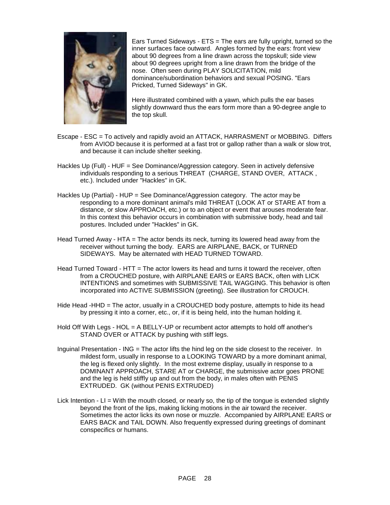

Ears Turned Sideways - ETS = The ears are fully upright, turned so the inner surfaces face outward. Angles formed by the ears: front view about 90 degrees from a line drawn across the topskull; side view about 90 degrees upright from a line drawn from the bridge of the nose. Often seen during PLAY SOLICITATION, mild dominance/subordination behaviors and sexual POSING. "Ears Pricked, Turned Sideways" in GK.

Here illustrated combined with a yawn, which pulls the ear bases slightly downward thus the ears form more than a 90-degree angle to the top skull.

- Escape ESC = To actively and rapidly avoid an ATTACK, HARRASMENT or MOBBING. Differs from AVIOD because it is performed at a fast trot or gallop rather than a walk or slow trot, and because it can include shelter seeking.
- Hackles Up (Full) HUF = See Dominance/Aggression category. Seen in actively defensive individuals responding to a serious THREAT (CHARGE, STAND OVER, ATTACK , etc.). Included under "Hackles" in GK.
- Hackles Up (Partial) HUP = See Dominance/Aggression category. The actor may be responding to a more dominant animal's mild THREAT (LOOK AT or STARE AT from a distance, or slow APPROACH, etc.) or to an object or event that arouses moderate fear. In this context this behavior occurs in combination with submissive body, head and tail postures. Included under "Hackles" in GK.
- Head Turned Away HTA = The actor bends its neck, turning its lowered head away from the receiver without turning the body. EARS are AIRPLANE, BACK, or TURNED SIDEWAYS. May be alternated with HEAD TURNED TOWARD.
- Head Turned Toward HTT = The actor lowers its head and turns it toward the receiver, often from a CROUCHED posture, with AIRPLANE EARS or EARS BACK, often with LICK INTENTIONS and sometimes with SUBMISSIVE TAIL WAGGING. This behavior is often incorporated into ACTIVE SUBMISSION (greeting). See illustration for CROUCH.
- Hide Head -HHD = The actor, usually in a CROUCHED body posture, attempts to hide its head by pressing it into a corner, etc., or, if it is being held, into the human holding it.
- Hold Off With Legs HOL = A BELLY-UP or recumbent actor attempts to hold off another's STAND OVER or ATTACK by pushing with stiff legs.
- Inguinal Presentation ING = The actor lifts the hind leg on the side closest to the receiver. In mildest form, usually in response to a LOOKING TOWARD by a more dominant animal, the leg is flexed only slightly. In the most extreme display, usually in response to a DOMINANT APPROACH, STARE AT or CHARGE, the submissive actor goes PRONE and the leg is held stiffly up and out from the body, in males often with PENIS EXTRUDED. GK (without PENIS EXTRUDED)
- Lick Intention LI = With the mouth closed, or nearly so, the tip of the tongue is extended slightly beyond the front of the lips, making licking motions in the air toward the receiver. Sometimes the actor licks its own nose or muzzle. Accompanied by AIRPLANE EARS or EARS BACK and TAIL DOWN. Also frequently expressed during greetings of dominant conspecifics or humans.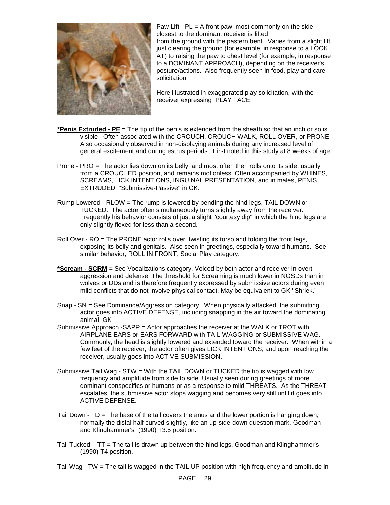

Paw Lift -  $PL = A$  front paw, most commonly on the side closest to the dominant receiver is lifted from the ground with the pastern bent. Varies from a slight lift just clearing the ground (for example, in response to a LOOK AT) to raising the paw to chest level (for example, in response to a DOMINANT APPROACH), depending on the receiver's posture/actions. Also frequently seen in food, play and care solicitation

Here illustrated in exaggerated play solicitation, with the receiver expressing PLAY FACE.

- **\*Penis Extruded PE** = The tip of the penis is extended from the sheath so that an inch or so is visible. Often associated with the CROUCH, CROUCH WALK, ROLL OVER, or PRONE. Also occasionally observed in non-displaying animals during any increased level of general excitement and during estrus periods. First noted in this study at 8 weeks of age.
- Prone PRO = The actor lies down on its belly, and most often then rolls onto its side, usually from a CROUCHED position, and remains motionless. Often accompanied by WHINES, SCREAMS, LICK INTENTIONS, INGUINAL PRESENTATION, and in males, PENIS EXTRUDED. "Submissive-Passive" in GK.
- Rump Lowered RLOW = The rump is lowered by bending the hind legs, TAIL DOWN or TUCKED. The actor often simultaneously turns slightly away from the receiver. Frequently his behavior consists of just a slight "courtesy dip" in which the hind legs are only slightly flexed for less than a second.
- Roll Over RO = The PRONE actor rolls over, twisting its torso and folding the front legs, exposing its belly and genitals. Also seen in greetings, especially toward humans. See similar behavior, ROLL IN FRONT, Social Play category.
- **\*Scream SCRM** = See Vocalizations category. Voiced by both actor and receiver in overt aggression and defense. The threshold for Screaming is much lower in NGSDs than in wolves or DDs and is therefore frequently expressed by submissive actors during even mild conflicts that do not involve physical contact. May be equivalent to GK "Shriek."
- Snap SN = See Dominance/Aggression category. When physically attacked, the submitting actor goes into ACTIVE DEFENSE, including snapping in the air toward the dominating animal. GK
- Submissive Approach -SAPP = Actor approaches the receiver at the WALK or TROT with AIRPLANE EARS or EARS FORWARD with TAIL WAGGING or SUBMISSIVE WAG. Commonly, the head is slightly lowered and extended toward the receiver. When within a few feet of the receiver, the actor often gives LICK INTENTIONS, and upon reaching the receiver, usually goes into ACTIVE SUBMISSION.
- Submissive Tail Wag STW = With the TAIL DOWN or TUCKED the tip is wagged with low frequency and amplitude from side to side. Usually seen during greetings of more dominant conspecifics or humans or as a response to mild THREATS. As the THREAT escalates, the submissive actor stops wagging and becomes very still until it goes into ACTIVE DEFENSE.
- Tail Down TD = The base of the tail covers the anus and the lower portion is hanging down, normally the distal half curved slightly, like an up-side-down question mark. Goodman and Klinghammer's (1990) T3.5 position.
- Tail Tucked TT = The tail is drawn up between the hind legs. Goodman and Klinghammer's (1990) T4 position.
- Tail Wag TW = The tail is wagged in the TAIL UP position with high frequency and amplitude in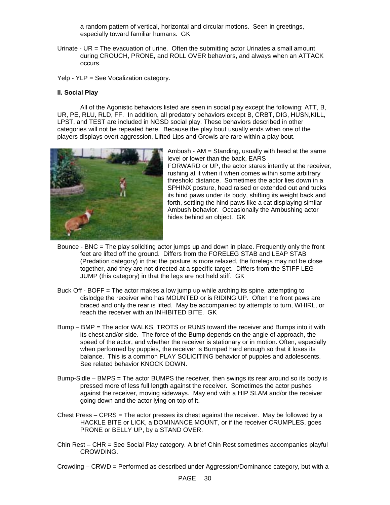a random pattern of vertical, horizontal and circular motions. Seen in greetings, especially toward familiar humans. GK

Urinate - UR = The evacuation of urine. Often the submitting actor Urinates a small amount during CROUCH, PRONE, and ROLL OVER behaviors, and always when an ATTACK occurs.

Yelp - YLP = See Vocalization category.

#### **II. Social Play**

All of the Agonistic behaviors listed are seen in social play except the following: ATT, B, UR, PE, RLU, RLD, FF. In addition, all predatory behaviors except B, CRBT, DIG, HUSN,KILL, LPST, and TEST are included in NGSD social play. These behaviors described in other categories will not be repeated here. Because the play bout usually ends when one of the players displays overt aggression, Lifted Lips and Growls are rare within a play bout.



Ambush - AM = Standing, usually with head at the same level or lower than the back, EARS FORWARD or UP, the actor stares intently at the receiver, rushing at it when it when comes within some arbitrary threshold distance. Sometimes the actor lies down in a SPHINX posture, head raised or extended out and tucks its hind paws under its body, shifting its weight back and forth, settling the hind paws like a cat displaying similar Ambush behavior. Occasionally the Ambushing actor hides behind an object. GK

- Bounce BNC = The play soliciting actor jumps up and down in place. Frequently only the front feet are lifted off the ground. Differs from the FORELEG STAB and LEAP STAB (Predation category) in that the posture is more relaxed, the forelegs may not be close together, and they are not directed at a specific target. Differs from the STIFF LEG JUMP (this category) in that the legs are not held stiff. GK
- Buck Off BOFF = The actor makes a low jump up while arching its spine, attempting to dislodge the receiver who has MOUNTED or is RIDING UP. Often the front paws are braced and only the rear is lifted. May be accompanied by attempts to turn, WHIRL, or reach the receiver with an INHIBITED BITE. GK
- Bump BMP = The actor WALKS, TROTS or RUNS toward the receiver and Bumps into it with its chest and/or side. The force of the Bump depends on the angle of approach, the speed of the actor, and whether the receiver is stationary or in motion. Often, especially when performed by puppies, the receiver is Bumped hard enough so that it loses its balance. This is a common PLAY SOLICITING behavior of puppies and adolescents. See related behavior KNOCK DOWN.
- Bump-Sidle BMPS = The actor BUMPS the receiver, then swings its rear around so its body is pressed more of less full length against the receiver. Sometimes the actor pushes against the receiver, moving sideways. May end with a HIP SLAM and/or the receiver going down and the actor lying on top of it.
- Chest Press CPRS = The actor presses its chest against the receiver. May be followed by a HACKLE BITE or LICK, a DOMINANCE MOUNT, or if the receiver CRUMPLES, goes PRONE or BELLY UP, by a STAND OVER.
- Chin Rest CHR = See Social Play category. A brief Chin Rest sometimes accompanies playful CROWDING.
- Crowding CRWD = Performed as described under Aggression/Dominance category, but with a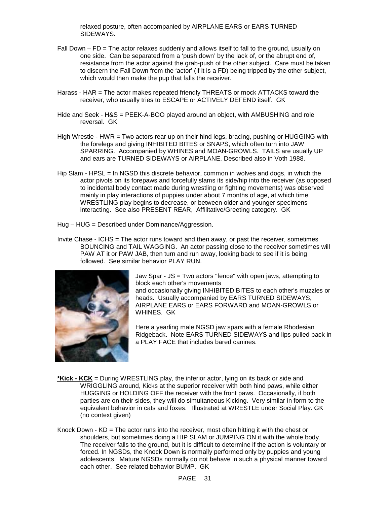relaxed posture, often accompanied by AIRPLANE EARS or EARS TURNED SIDEWAYS.

- Fall Down FD = The actor relaxes suddenly and allows itself to fall to the ground, usually on one side. Can be separated from a 'push down' by the lack of, or the abrupt end of, resistance from the actor against the grab-push of the other subject. Care must be taken to discern the Fall Down from the 'actor' (if it is a FD) being tripped by the other subject, which would then make the pup that falls the receiver.
- Harass HAR = The actor makes repeated friendly THREATS or mock ATTACKS toward the receiver, who usually tries to ESCAPE or ACTIVELY DEFEND itself. GK
- Hide and Seek H&S = PEEK-A-BOO played around an object, with AMBUSHING and role reversal. GK
- High Wrestle HWR = Two actors rear up on their hind legs, bracing, pushing or HUGGING with the forelegs and giving INHIBITED BITES or SNAPS, which often turn into JAW SPARRING. Accompanied by WHINES and MOAN-GROWLS. TAILS are usually UP and ears are TURNED SIDEWAYS or AIRPLANE. Described also in Voth 1988.
- Hip Slam HPSL = In NGSD this discrete behavior, common in wolves and dogs, in which the actor pivots on its forepaws and forcefully slams its side/hip into the receiver (as opposed to incidental body contact made during wrestling or fighting movements) was observed mainly in play interactions of puppies under about 7 months of age, at which time WRESTLING play begins to decrease, or between older and younger specimens interacting. See also PRESENT REAR, Affilitative/Greeting category. GK
- Hug HUG = Described under Dominance/Aggression.
- Invite Chase ICHS = The actor runs toward and then away, or past the receiver, sometimes BOUNCING and TAIL WAGGING. An actor passing close to the receiver sometimes will PAW AT it or PAW JAB, then turn and run away, looking back to see if it is being followed. See similar behavior PLAY RUN.



Jaw Spar - JS = Two actors "fence" with open jaws, attempting to block each other's movements and occasionally giving INHIBITED BITES to each other's muzzles or heads. Usually accompanied by EARS TURNED SIDEWAYS, AIRPLANE EARS or EARS FORWARD and MOAN-GROWLS or WHINES. GK

Here a yearling male NGSD jaw spars with a female Rhodesian Ridgeback. Note EARS TURNED SIDEWAYS and lips pulled back in a PLAY FACE that includes bared canines.

- **\*Kick KCK** = During WRESTLING play, the inferior actor, lying on its back or side and WRIGGLING around, Kicks at the superior receiver with both hind paws, while either HUGGING or HOLDING OFF the receiver with the front paws. Occasionally, if both parties are on their sides, they will do simultaneous Kicking. Very similar in form to the equivalent behavior in cats and foxes. Illustrated at WRESTLE under Social Play. GK (no context given)
- Knock Down KD = The actor runs into the receiver, most often hitting it with the chest or shoulders, but sometimes doing a HIP SLAM or JUMPING ON it with the whole body. The receiver falls to the ground, but it is difficult to determine if the action is voluntary or forced. In NGSDs, the Knock Down is normally performed only by puppies and young adolescents. Mature NGSDs normally do not behave in such a physical manner toward each other. See related behavior BUMP. GK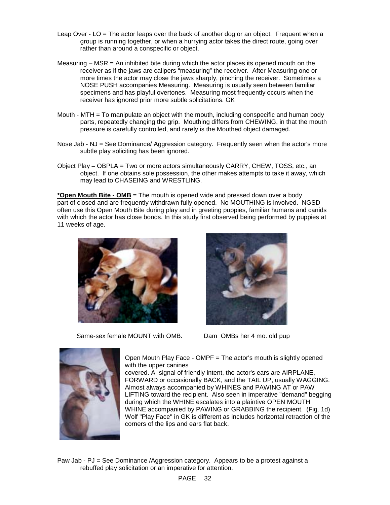- Leap Over LO = The actor leaps over the back of another dog or an object. Frequent when a group is running together, or when a hurrying actor takes the direct route, going over rather than around a conspecific or object.
- Measuring  $-$  MSR = An inhibited bite during which the actor places its opened mouth on the receiver as if the jaws are calipers "measuring" the receiver. After Measuring one or more times the actor may close the jaws sharply, pinching the receiver. Sometimes a NOSE PUSH accompanies Measuring. Measuring is usually seen between familiar specimens and has playful overtones. Measuring most frequently occurs when the receiver has ignored prior more subtle solicitations. GK
- Mouth MTH = To manipulate an object with the mouth, including conspecific and human body parts, repeatedly changing the grip. Mouthing differs from CHEWING, in that the mouth pressure is carefully controlled, and rarely is the Mouthed object damaged.
- Nose Jab NJ = See Dominance/ Aggression category. Frequently seen when the actor's more subtle play soliciting has been ignored.
- Object Play OBPLA = Two or more actors simultaneously CARRY, CHEW, TOSS, etc., an object. If one obtains sole possession, the other makes attempts to take it away, which may lead to CHASEING and WRESTLING.

**\*Open Mouth Bite - OMB** = The mouth is opened wide and pressed down over a body part of closed and are frequently withdrawn fully opened. No MOUTHING is involved. NGSD often use this Open Mouth Bite during play and in greeting puppies, familiar humans and canids with which the actor has close bonds. In this study first observed being performed by puppies at 11 weeks of age.



Same-sex female MOUNT with OMB. Dam OMBs her 4 mo. old pup





Open Mouth Play Face - OMPF = The actor's mouth is slightly opened with the upper canines

covered. A signal of friendly intent, the actor's ears are AIRPLANE, FORWARD or occasionally BACK, and the TAIL UP, usually WAGGING. Almost always accompanied by WHINES and PAWING AT or PAW LIFTING toward the recipient. Also seen in imperative "demand" begging during which the WHINE escalates into a plaintive OPEN MOUTH WHINE accompanied by PAWING or GRABBING the recipient. (Fig. 1d) Wolf "Play Face" in GK is different as includes horizontal retraction of the corners of the lips and ears flat back.

Paw Jab - PJ = See Dominance /Aggression category. Appears to be a protest against a rebuffed play solicitation or an imperative for attention.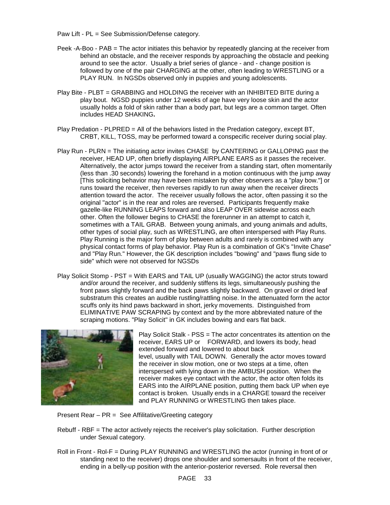Paw Lift - PL = See Submission/Defense category.

- Peek -A-Boo PAB = The actor initiates this behavior by repeatedly glancing at the receiver from behind an obstacle, and the receiver responds by approaching the obstacle and peeking around to see the actor. Usually a brief series of glance - and - change position is followed by one of the pair CHARGING at the other, often leading to WRESTLING or a PLAY RUN. In NGSDs observed only in puppies and young adolescents.
- Play Bite PLBT = GRABBING and HOLDING the receiver with an INHIBITED BITE during a play bout. NGSD puppies under 12 weeks of age have very loose skin and the actor usually holds a fold of skin rather than a body part, but legs are a common target. Often includes HEAD SHAKING**.**
- Play Predation PLPRED = All of the behaviors listed in the Predation category, except BT, CRBT, KILL, TOSS, may be performed toward a conspecific receiver during social play.
- Play Run PLRN = The initiating actor invites CHASE by CANTERING or GALLOPING past the receiver, HEAD UP, often briefly displaying AIRPLANE EARS as it passes the receiver. Alternatively, the actor jumps toward the receiver from a standing start, often momentarily (less than .30 seconds) lowering the forehand in a motion continuous with the jump away [This soliciting behavior may have been mistaken by other observers as a "play bow."] or runs toward the receiver, then reverses rapidly to run away when the receiver directs attention toward the actor. The receiver usually follows the actor, often passing it so the original "actor" is in the rear and roles are reversed. Participants frequently make gazelle-like RUNNING LEAPS forward and also LEAP OVER sidewise across each other. Often the follower begins to CHASE the forerunner in an attempt to catch it, sometimes with a TAIL GRAB. Between young animals, and young animals and adults, other types of social play, such as WRESTLING, are often interspersed with Play Runs. Play Running is the major form of play between adults and rarely is combined with any physical contact forms of play behavior. Play Run is a combination of GK's "Invite Chase" and "Play Run." However, the GK description includes "bowing" and "paws flung side to side" which were not observed for NGSDs
- Play Solicit Stomp PST = With EARS and TAIL UP (usually WAGGING) the actor struts toward and/or around the receiver, and suddenly stiffens its legs, simultaneously pushing the front paws slightly forward and the back paws slightly backward. On gravel or dried leaf substratum this creates an audible rustling/rattling noise. In the attenuated form the actor scuffs only its hind paws backward in short, jerky movements. Distinguished from ELIMINATIVE PAW SCRAPING by context and by the more abbreviated nature of the scraping motions. "Play Solicit" in GK includes bowing and ears flat back.



Play Solicit Stalk - PSS = The actor concentrates its attention on the receiver, EARS UP or FORWARD, and lowers its body, head extended forward and lowered to about back level, usually with TAIL DOWN. Generally the actor moves toward the receiver in slow motion, one or two steps at a time, often interspersed with lying down in the AMBUSH position. When the receiver makes eye contact with the actor, the actor often folds its EARS into the AIRPLANE position, putting them back UP when eye contact is broken. Usually ends in a CHARGE toward the receiver and PLAY RUNNING or WRESTLING then takes place.

Present Rear – PR = See Affilitative/Greeting category

- Rebuff RBF = The actor actively rejects the receiver's play solicitation. Further description under Sexual category.
- Roll in Front Rol-F = During PLAY RUNNING and WRESTLING the actor (running in front of or standing next to the receiver) drops one shoulder and somersaults in front of the receiver, ending in a belly-up position with the anterior-posterior reversed. Role reversal then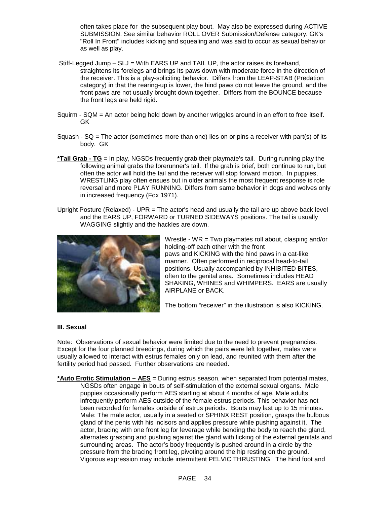often takes place for the subsequent play bout. May also be expressed during ACTIVE SUBMISSION. See similar behavior ROLL OVER Submission/Defense category. GK's "Roll In Front" includes kicking and squealing and was said to occur as sexual behavior as well as play.

- Stiff-Legged Jump SLJ = With EARS UP and TAIL UP, the actor raises its forehand, straightens its forelegs and brings its paws down with moderate force in the direction of the receiver. This is a play-soliciting behavior. Differs from the LEAP-STAB (Predation category) in that the rearing-up is lower, the hind paws do not leave the ground, and the front paws are not usually brought down together. Differs from the BOUNCE because the front legs are held rigid.
- Squirm SQM = An actor being held down by another wriggles around in an effort to free itself. GK
- Squash  $SQ = The actor$  (sometimes more than one) lies on or pins a receiver with part(s) of its body. GK
- **\*Tail Grab TG** = In play, NGSDs frequently grab their playmate's tail. During running play the following animal grabs the forerunner's tail. If the grab is brief, both continue to run, but often the actor will hold the tail and the receiver will stop forward motion. In puppies, WRESTLING play often ensues but in older animals the most frequent response is role reversal and more PLAY RUNNING. Differs from same behavior in dogs and wolves only in increased frequency (Fox 1971).
- Upright Posture (Relaxed) UPR = The actor's head and usually the tail are up above back level and the EARS UP, FORWARD or TURNED SIDEWAYS positions. The tail is usually WAGGING slightly and the hackles are down.



Wrestle - WR = Two playmates roll about, clasping and/or holding-off each other with the front paws and KICKING with the hind paws in a cat-like manner. Often performed in reciprocal head-to-tail positions. Usually accompanied by INHIBITED BITES, often to the genital area. Sometimes includes HEAD SHAKING, WHINES and WHIMPERS. EARS are usually AIRPLANE or BACK.

The bottom "receiver" in the illustration is also KICKING.

#### **III. Sexual**

Note: Observations of sexual behavior were limited due to the need to prevent pregnancies. Except for the four planned breedings, during which the pairs were left together, males were usually allowed to interact with estrus females only on lead, and reunited with them after the fertility period had passed. Further observations are needed.

**\*Auto Erotic Stimulation – AES** = During estrus season, when separated from potential mates, NGSDs often engage in bouts of self-stimulation of the external sexual organs. Male puppies occasionally perform AES starting at about 4 months of age. Male adults infrequently perform AES outside of the female estrus periods. This behavior has not been recorded for females outside of estrus periods. Bouts may last up to 15 minutes. Male: The male actor, usually in a seated or SPHINX REST position, grasps the bulbous gland of the penis with his incisors and applies pressure while pushing against it. The actor, bracing with one front leg for leverage while bending the body to reach the gland, alternates grasping and pushing against the gland with licking of the external genitals and surrounding areas. The actor's body frequently is pushed around in a circle by the pressure from the bracing front leg, pivoting around the hip resting on the ground. Vigorous expression may include intermittent PELVIC THRUSTING. The hind foot and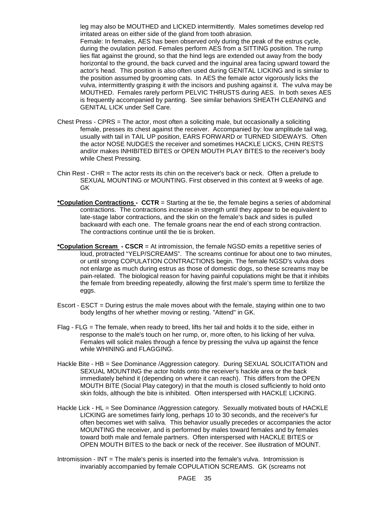leg may also be MOUTHED and LICKED intermittently. Males sometimes develop red irritated areas on either side of the gland from tooth abrasion. Female: In females, AES has been observed only during the peak of the estrus cycle, during the ovulation period. Females perform AES from a SITTING position. The rump lies flat against the ground, so that the hind legs are extended out away from the body horizontal to the ground, the back curved and the inguinal area facing upward toward the actor's head. This position is also often used during GENITAL LICKING and is similar to the position assumed by grooming cats. In AES the female actor vigorously licks the vulva, intermittently grasping it with the incisors and pushing against it. The vulva may be MOUTHED. Females rarely perform PELVIC THRUSTS during AES. In both sexes AES is frequently accompanied by panting. See similar behaviors SHEATH CLEANING and GENITAL LICK under Self Care.

- Chest Press CPRS = The actor, most often a soliciting male, but occasionally a soliciting female, presses its chest against the receiver. Accompanied by: low amplitude tail wag, usually with tail in TAIL UP position, EARS FORWARD or TURNED SIDEWAYS. Often the actor NOSE NUDGES the receiver and sometimes HACKLE LICKS, CHIN RESTS and/or makes INHIBITED BITES or OPEN MOUTH PLAY BITES to the receiver's body while Chest Pressing.
- Chin Rest CHR = The actor rests its chin on the receiver's back or neck. Often a prelude to SEXUAL MOUNTING or MOUNTING. First observed in this context at 9 weeks of age. GK
- **\*Copulation Contractions CCTR** = Starting at the tie, the female begins a series of abdominal contractions. The contractions increase in strength until they appear to be equivalent to late-stage labor contractions, and the skin on the female's back and sides is pulled backward with each one. The female groans near the end of each strong contraction. The contractions continue until the tie is broken.
- **\*Copulation Scream CSCR** = At intromission, the female NGSD emits a repetitive series of loud, protracted "YELP/SCREAMS". The screams continue for about one to two minutes, or until strong COPULATION CONTRACTIONS begin. The female NGSD's vulva does not enlarge as much during estrus as those of domestic dogs, so these screams may be pain-related. The biological reason for having painful copulations might be that it inhibits the female from breeding repeatedly, allowing the first male's sperm time to fertilize the eggs.
- Escort ESCT = During estrus the male moves about with the female, staying within one to two body lengths of her whether moving or resting. "Attend" in GK.
- Flag FLG = The female, when ready to breed, lifts her tail and holds it to the side, either in response to the male's touch on her rump, or, more often, to his licking of her vulva. Females will solicit males through a fence by pressing the vulva up against the fence while WHINING and FLAGGING.
- Hackle Bite HB = See Dominance /Aggression category. During SEXUAL SOLICITATION and SEXUAL MOUNTING the actor holds onto the receiver's hackle area or the back immediately behind it (depending on where it can reach). This differs from the OPEN MOUTH BITE (Social Play category) in that the mouth is closed sufficiently to hold onto skin folds, although the bite is inhibited. Often interspersed with HACKLE LICKING.
- Hackle Lick HL = See Dominance /Aggression category. Sexually motivated bouts of HACKLE LICKING are sometimes fairly long, perhaps 10 to 30 seconds, and the receiver's fur often becomes wet with saliva. This behavior usually precedes or accompanies the actor MOUNTING the receiver, and is performed by males toward females and by females toward both male and female partners. Often interspersed with HACKLE BITES or OPEN MOUTH BITES to the back or neck of the receiver. See illustration of MOUNT.
- Intromission INT = The male's penis is inserted into the female's vulva. Intromission is invariably accompanied by female COPULATION SCREAMS. GK (screams not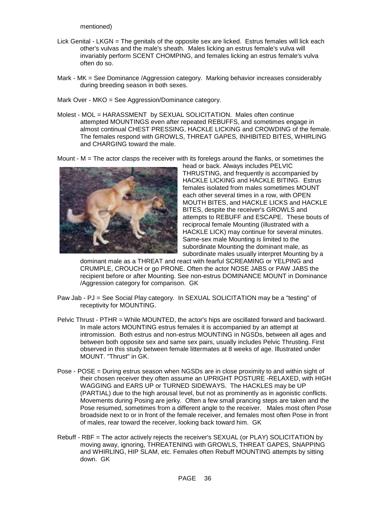mentioned)

- Lick Genital LKGN = The genitals of the opposite sex are licked. Estrus females will lick each other's vulvas and the male's sheath. Males licking an estrus female's vulva will invariably perform SCENT CHOMPING, and females licking an estrus female's vulva often do so.
- Mark MK = See Dominance /Aggression category. Marking behavior increases considerably during breeding season in both sexes.
- Mark Over MKO = See Aggression/Dominance category.
- Molest MOL = HARASSMENT by SEXUAL SOLICITATION. Males often continue attempted MOUNTINGS even after repeated REBUFFS, and sometimes engage in almost continual CHEST PRESSING, HACKLE LICKING and CROWDING of the female. The females respond with GROWLS, THREAT GAPES, INHIBITED BITES, WHIRLING and CHARGING toward the male.

Mount -  $M =$  The actor clasps the receiver with its forelegs around the flanks, or sometimes the



head or back. Always includes PELVIC THRUSTING, and frequently is accompanied by HACKLE LICKING and HACKLE BITING. Estrus females isolated from males sometimes MOUNT each other several times in a row, with OPEN MOUTH BITES, and HACKLE LICKS and HACKLE BITES, despite the receiver's GROWLS and attempts to REBUFF and ESCAPE. These bouts of reciprocal female Mounting (illustrated with a HACKLE LICK) may continue for several minutes. Same-sex male Mounting is limited to the subordinate Mounting the dominant male, as subordinate males usually interpret Mounting by a

dominant male as a THREAT and react with fearful SCREAMING or YELPING and CRUMPLE, CROUCH or go PRONE. Often the actor NOSE JABS or PAW JABS the recipient before or after Mounting. See non-estrus DOMINANCE MOUNT in Dominance /Aggression category for comparison. GK

- Paw Jab PJ = See Social Play category. In SEXUAL SOLICITATION may be a "testing" of receptivity for MOUNTING.
- Pelvic Thrust PTHR = While MOUNTED, the actor's hips are oscillated forward and backward. In male actors MOUNTING estrus females it is accompanied by an attempt at intromission. Both estrus and non-estrus MOUNTING in NGSDs, between all ages and between both opposite sex and same sex pairs, usually includes Pelvic Thrusting. First observed in this study between female littermates at 8 weeks of age. Illustrated under MOUNT. "Thrust" in GK.
- Pose POSE = During estrus season when NGSDs are in close proximity to and within sight of their chosen receiver they often assume an UPRIGHT POSTURE -RELAXED, with HIGH WAGGING and EARS UP or TURNED SIDEWAYS. The HACKLES may be UP (PARTIAL) due to the high arousal level, but not as prominently as in agonistic conflicts. Movements during Posing are jerky. Often a few small prancing steps are taken and the Pose resumed, sometimes from a different angle to the receiver. Males most often Pose broadside next to or in front of the female receiver, and females most often Pose in front of males, rear toward the receiver, looking back toward him. GK
- Rebuff RBF = The actor actively rejects the receiver's SEXUAL (or PLAY) SOLICITATION by moving away, ignoring, THREATENING with GROWLS, THREAT GAPES, SNAPPING and WHIRLING, HIP SLAM, etc. Females often Rebuff MOUNTING attempts by sitting down. GK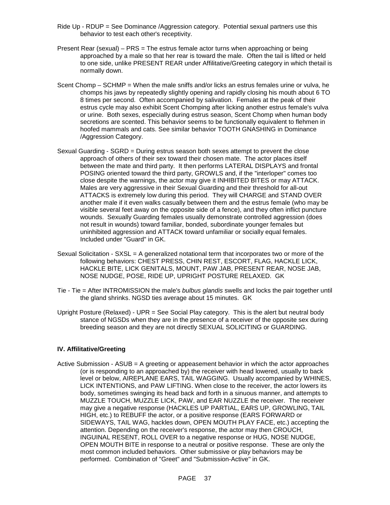- Ride Up RDUP = See Dominance /Aggression category. Potential sexual partners use this behavior to test each other's receptivity.
- Present Rear (sexual) PRS = The estrus female actor turns when approaching or being approached by a male so that her rear is toward the male. Often the tail is lifted or held to one side, unlike PRESENT REAR under Affilitative/Greeting category in which thetail is normally down.
- Scent Chomp SCHMP = When the male sniffs and/or licks an estrus females urine or vulva, he chomps his jaws by repeatedly slightly opening and rapidly closing his mouth about 6 TO 8 times per second. Often accompanied by salivation. Females at the peak of their estrus cycle may also exhibit Scent Chomping after licking another estrus female's vulva or urine. Both sexes, especially during estrus season, Scent Chomp when human body secretions are scented. This behavior seems to be functionally equivalent to flehmen in hoofed mammals and cats. See similar behavior TOOTH GNASHING in Dominance /Aggression Category.
- Sexual Guarding SGRD = During estrus season both sexes attempt to prevent the close approach of others of their sex toward their chosen mate. The actor places itself between the mate and third party. It then performs LATERAL DISPLAYS and frontal POSING oriented toward the third party, GROWLS and, if the "interloper" comes too close despite the warnings, the actor may give it INHIBITED BITES or may ATTACK. Males are very aggressive in their Sexual Guarding and their threshold for all-out ATTACKS is extremely low during this period. They will CHARGE and STAND OVER another male if it even walks casually between them and the estrus female (who may be visible several feet away on the opposite side of a fence), and they often inflict puncture wounds. Sexually Guarding females usually demonstrate controlled aggression (does not result in wounds) toward familiar, bonded, subordinate younger females but uninhibited aggression and ATTACK toward unfamiliar or socially equal females. Included under "Guard" in GK.
- Sexual Solicitation SXSL = A generalized notational term that incorporates two or more of the following behaviors: CHEST PRESS, CHIN REST, ESCORT, FLAG, HACKLE LICK, HACKLE BITE, LICK GENITALS, MOUNT, PAW JAB, PRESENT REAR, NOSE JAB, NOSE NUDGE, POSE, RIDE UP, UPRIGHT POSTURE RELAXED. GK
- Tie Tie = After INTROMISSION the male's *bulbus glandis* swells and locks the pair together until the gland shrinks. NGSD ties average about 15 minutes. GK
- Upright Posture (Relaxed) UPR = See Social Play category. This is the alert but neutral body stance of NGSDs when they are in the presence of a receiver of the opposite sex during breeding season and they are not directly SEXUAL SOLICITING or GUARDING.

# **IV. Affilitative/Greeting**

Active Submission - ASUB = A greeting or appeasement behavior in which the actor approaches (or is responding to an approached by) the receiver with head lowered, usually to back level or below, AIREPLANE EARS, TAIL WAGGING. Usually accompanied by WHINES, LICK INTENTIONS, and PAW LIFTING. When close to the receiver, the actor lowers its body, sometimes swinging its head back and forth in a sinuous manner, and attempts to MUZZLE TOUCH, MUZZLE LICK, PAW, and EAR NUZZLE the receiver. The receiver may give a negative response (HACKLES UP PARTIAL, EARS UP, GROWLING, TAIL HIGH, etc.) to REBUFF the actor, or a positive response (EARS FORWARD or SIDEWAYS, TAIL WAG, hackles down, OPEN MOUTH PLAY FACE, etc.) accepting the attention. Depending on the receiver's response, the actor may then CROUCH, INGUINAL RESENT, ROLL OVER to a negative response or HUG, NOSE NUDGE, OPEN MOUTH BITE in response to a neutral or positive response. These are only the most common included behaviors. Other submissive or play behaviors may be performed. Combination of "Greet" and "Submission-Active" in GK.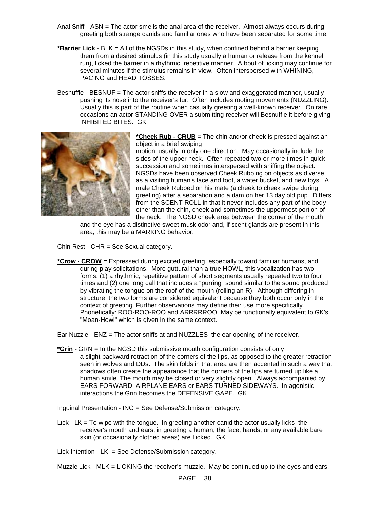- Anal Sniff ASN = The actor smells the anal area of the receiver. Almost always occurs during greeting both strange canids and familiar ones who have been separated for some time.
- **\*Barrier Lick** BLK = All of the NGSDs in this study, when confined behind a barrier keeping them from a desired stimulus (in this study usually a human or release from the kennel run), licked the barrier in a rhythmic, repetitive manner. A bout of licking may continue for several minutes if the stimulus remains in view. Often interspersed with WHINING, PACING and HEAD TOSSES.
- Besnuffle BESNUF = The actor sniffs the receiver in a slow and exaggerated manner, usually pushing its nose into the receiver's fur. Often includes rooting movements (NUZZLING). Usually this is part of the routine when casually greeting a well-known receiver. On rare occasions an actor STANDING OVER a submitting receiver will Besnuffle it before giving INHIBITED BITES. GK



**\*Cheek Rub - CRUB** = The chin and/or cheek is pressed against an object in a brief swiping

motion, usually in only one direction. May occasionally include the sides of the upper neck. Often repeated two or more times in quick succession and sometimes interspersed with sniffing the object. NGSDs have been observed Cheek Rubbing on objects as diverse as a visiting human's face and foot, a water bucket, and new toys. A male Cheek Rubbed on his mate (a cheek to cheek swipe during greeting) after a separation and a dam on her 13 day old pup. Differs from the SCENT ROLL in that it never includes any part of the body other than the chin, cheek and sometimes the uppermost portion of the neck. The NGSD cheek area between the corner of the mouth

and the eye has a distinctive sweet musk odor and, if scent glands are present in this area, this may be a MARKING behavior.

Chin Rest - CHR = See Sexual category.

**\*Crow - CROW** = Expressed during excited greeting, especially toward familiar humans, and during play solicitations. More guttural than a true HOWL, this vocalization has two forms: (1) a rhythmic, repetitive pattern of short segments usually repeated two to four times and (2) one long call that includes a "purring" sound similar to the sound produced by vibrating the tongue on the roof of the mouth (rolling an R). Although differing in structure, the two forms are considered equivalent because they both occur only in the context of greeting. Further observations may define their use more specifically. Phonetically: ROO-ROO-ROO and ARRRRROO. May be functionally equivalent to GK's "Moan-Howl" which is given in the same context.

Ear Nuzzle - ENZ = The actor sniffs at and NUZZLES the ear opening of the receiver.

**\*Grin** - GRN = In the NGSD this submissive mouth configuration consists of only a slight backward retraction of the corners of the lips, as opposed to the greater retraction seen in wolves and DDs. The skin folds in that area are then accented in such a way that shadows often create the appearance that the corners of the lips are turned up like a human smile. The mouth may be closed or very slightly open. Always accompanied by EARS FORWARD, AIRPLANE EARS or EARS TURNED SIDEWAYS. In agonistic interactions the Grin becomes the DEFENSIVE GAPE. GK

Inguinal Presentation - ING = See Defense/Submission category.

Lick - LK = To wipe with the tongue. In greeting another canid the actor usually licks the receiver's mouth and ears; in greeting a human, the face, hands, or any available bare skin (or occasionally clothed areas) are Licked. GK

Lick Intention - LKI = See Defense/Submission category.

Muzzle Lick - MLK = LICKING the receiver's muzzle. May be continued up to the eyes and ears,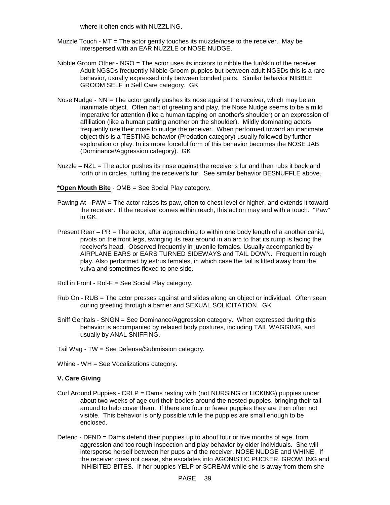where it often ends with NUZZLING.

- Muzzle Touch MT = The actor gently touches its muzzle/nose to the receiver. May be interspersed with an EAR NUZZLE or NOSE NUDGE.
- Nibble Groom Other NGO = The actor uses its incisors to nibble the fur/skin of the receiver. Adult NGSDs frequently Nibble Groom puppies but between adult NGSDs this is a rare behavior, usually expressed only between bonded pairs. Similar behavior NIBBLE GROOM SELF in Self Care category. GK
- Nose Nudge NN = The actor gently pushes its nose against the receiver, which may be an inanimate object. Often part of greeting and play, the Nose Nudge seems to be a mild imperative for attention (like a human tapping on another's shoulder) or an expression of affiliation (like a human patting another on the shoulder). Mildly dominating actors frequently use their nose to nudge the receiver. When performed toward an inanimate object this is a TESTING behavior (Predation category) usually followed by further exploration or play. In its more forceful form of this behavior becomes the NOSE JAB (Dominance/Aggression category). GK
- Nuzzle  $-$  NZL  $=$  The actor pushes its nose against the receiver's fur and then rubs it back and forth or in circles, ruffling the receiver's fur. See similar behavior BESNUFFLE above.

#### **\*Open Mouth Bite** - OMB = See Social Play category.

- Pawing At PAW = The actor raises its paw, often to chest level or higher, and extends it toward the receiver. If the receiver comes within reach, this action may end with a touch. "Paw" in GK.
- Present Rear PR = The actor, after approaching to within one body length of a another canid, pivots on the front legs, swinging its rear around in an arc to that its rump is facing the receiver's head. Observed frequently in juvenile females. Usually accompanied by AIRPLANE EARS or EARS TURNED SIDEWAYS and TAIL DOWN. Frequent in rough play. Also performed by estrus females, in which case the tail is lifted away from the vulva and sometimes flexed to one side.
- Roll in Front Rol-F = See Social Play category.
- Rub On RUB = The actor presses against and slides along an object or individual. Often seen during greeting through a barrier and SEXUAL SOLICITATION. GK
- Sniff Genitals SNGN = See Dominance/Aggression category. When expressed during this behavior is accompanied by relaxed body postures, including TAIL WAGGING, and usually by ANAL SNIFFING.
- Tail Wag TW = See Defense/Submission category.
- Whine WH = See Vocalizations category.

#### **V. Care Giving**

- Curl Around Puppies CRLP = Dams resting with (not NURSING or LICKING) puppies under about two weeks of age curl their bodies around the nested puppies, bringing their tail around to help cover them. If there are four or fewer puppies they are then often not visible. This behavior is only possible while the puppies are small enough to be enclosed.
- Defend DFND = Dams defend their puppies up to about four or five months of age, from aggression and too rough inspection and play behavior by older individuals. She will intersperse herself between her pups and the receiver, NOSE NUDGE and WHINE. If the receiver does not cease, she escalates into AGONISTIC PUCKER, GROWLING and INHIBITED BITES. If her puppies YELP or SCREAM while she is away from them she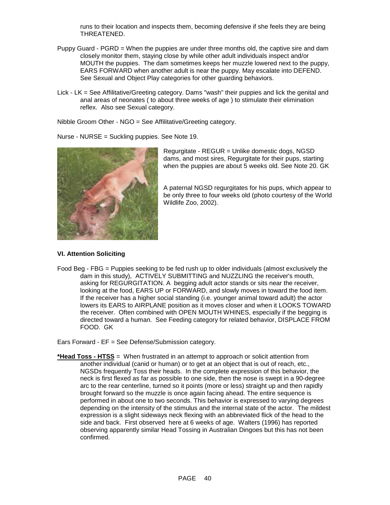runs to their location and inspects them, becoming defensive if she feels they are being THREATENED.

- Puppy Guard PGRD = When the puppies are under three months old, the captive sire and dam closely monitor them, staying close by while other adult individuals inspect and/or MOUTH the puppies. The dam sometimes keeps her muzzle lowered next to the puppy, EARS FORWARD when another adult is near the puppy. May escalate into DEFEND. See Sexual and Object Play categories for other guarding behaviors.
- Lick LK = See Affilitative/Greeting category. Dams "wash" their puppies and lick the genital and anal areas of neonates ( to about three weeks of age ) to stimulate their elimination reflex. Also see Sexual category.

Nibble Groom Other - NGO = See Affilitative/Greeting category.

Nurse - NURSE = Suckling puppies. See Note 19.



Regurgitate - REGUR = Unlike domestic dogs, NGSD dams, and most sires, Regurgitate for their pups, starting when the puppies are about 5 weeks old. See Note 20. GK

A paternal NGSD regurgitates for his pups, which appear to be only three to four weeks old (photo courtesy of the World Wildlife Zoo, 2002).

#### **VI. Attention Soliciting**

Food Beg - FBG = Puppies seeking to be fed rush up to older individuals (almost exclusively the dam in this study), ACTIVELY SUBMITTING and NUZZLING the receiver's mouth, asking for REGURGITATION. A begging adult actor stands or sits near the receiver, looking at the food, EARS UP or FORWARD, and slowly moves in toward the food item. If the receiver has a higher social standing (i.e. younger animal toward adult) the actor lowers its EARS to AIRPLANE position as it moves closer and when it LOOKS TOWARD the receiver. Often combined with OPEN MOUTH WHINES, especially if the begging is directed toward a human. See Feeding category for related behavior, DISPLACE FROM FOOD. GK

Ears Forward - EF = See Defense/Submission category.

**\*Head Toss - HTSS** = When frustrated in an attempt to approach or solicit attention from another individual (canid or human) or to get at an object that is out of reach, etc., NGSDs frequently Toss their heads. In the complete expression of this behavior, the neck is first flexed as far as possible to one side, then the nose is swept in a 90-degree arc to the rear centerline, turned so it points (more or less) straight up and then rapidly brought forward so the muzzle is once again facing ahead. The entire sequence is performed in about one to two seconds. This behavior is expressed to varying degrees depending on the intensity of the stimulus and the internal state of the actor. The mildest expression is a slight sideways neck flexing with an abbreviated flick of the head to the side and back. First observed here at 6 weeks of age. Walters (1996) has reported observing apparently similar Head Tossing in Australian Dingoes but this has not been confirmed.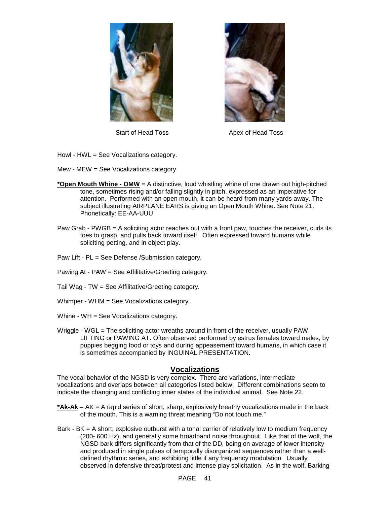



Start of Head Toss Apex of Head Toss

- Howl HWL = See Vocalizations category.
- Mew MEW = See Vocalizations category.
- **\*Open Mouth Whine OMW** = A distinctive, loud whistling whine of one drawn out high-pitched tone, sometimes rising and/or falling slightly in pitch, expressed as an imperative for attention. Performed with an open mouth, it can be heard from many yards away. The subject illustrating AIRPLANE EARS is giving an Open Mouth Whine. See Note 21. Phonetically: EE-AA-UUU
- Paw Grab PWGB = A soliciting actor reaches out with a front paw, touches the receiver, curls its toes to grasp, and pulls back toward itself. Often expressed toward humans while soliciting petting, and in object play.
- Paw Lift PL = See Defense /Submission category.
- Pawing At PAW = See Affilitative/Greeting category.
- Tail Wag TW = See Affilitative/Greeting category.
- Whimper WHM = See Vocalizations category.
- Whine WH = See Vocalizations category.
- Wriggle WGL = The soliciting actor wreaths around in front of the receiver, usually PAW LIFTING or PAWING AT. Often observed performed by estrus females toward males, by puppies begging food or toys and during appeasement toward humans, in which case it is sometimes accompanied by INGUINAL PRESENTATION.

# **Vocalizations**

The vocal behavior of the NGSD is very complex. There are variations, intermediate vocalizations and overlaps between all categories listed below. Different combinations seem to indicate the changing and conflicting inner states of the individual animal. See Note 22.

- **\*Ak-Ak** AK = A rapid series of short, sharp, explosively breathy vocalizations made in the back of the mouth. This is a warning threat meaning "Do not touch me."
- Bark BK = A short, explosive outburst with a tonal carrier of relatively low to medium frequency (200- 600 Hz), and generally some broadband noise throughout. Like that of the wolf, the NGSD bark differs significantly from that of the DD, being on average of lower intensity and produced in single pulses of temporally disorganized sequences rather than a welldefined rhythmic series, and exhibiting little if any frequency modulation. Usually observed in defensive threat/protest and intense play solicitation. As in the wolf, Barking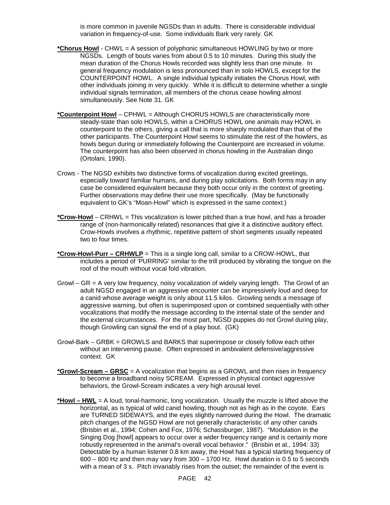is more common in juvenile NGSDs than in adults. There is considerable individual variation in frequency-of-use. Some individuals Bark very rarely. GK

- **\*Chorus Howl** CHWL = A session of polyphonic simultaneous HOWLING by two or more NGSDs. Length of bouts varies from about 0.5 to 10 minutes. During this study the mean duration of the Chorus Howls recorded was slightly less than one minute. In general frequency modulation is less pronounced than in solo HOWLS, except for the COUNTERPOINT HOWL. A single individual typically initiates the Chorus Howl, with other individuals joining in very quickly. While it is difficult to determine whether a single individual signals termination, all members of the chorus cease howling almost simultaneously. See Note 31. GK
- **\*Counterpoint Howl** CPHWL = Although CHORUS HOWLS are characteristically more steady-state than solo HOWLS, within a CHORUS HOWL one animals may HOWL in counterpoint to the others, giving a call that is more sharply modulated than that of the other participants. The Counterpoint Howl seems to stimulate the rest of the howlers, as howls begun during or immediately following the Counterpoint are increased in volume. The counterpoint has also been observed in chorus howling in the Australian dingo (Ortolani, 1990).
- Crows The NGSD exhibits two distinctive forms of vocalization during excited greetings, especially toward familiar humans, and during play solicitations. Both forms may in any case be considered equivalent because they both occur only in the context of greeting. Further observations may define their use more specifically. (May be functionally equivalent to GK's "Moan-Howl" which is expressed in the same context.)
- **\*Crow-Howl** CRHWL = This vocalization is lower pitched than a true howl, and has a broader range of (non-harmonically related) resonances that give it a distinctive auditory effect. Crow-Howls involves a rhythmic, repetitive pattern of short segments usually repeated two to four times.
- **\*Crow-Howl-Purr CRHWLP** = This is a single long call, similar to a CROW-HOWL, that includes a period of 'PURRING' similar to the trill produced by vibrating the tongue on the roof of the mouth without vocal fold vibration.
- Growl GR = A very low frequency, noisy vocalization of widely varying length. The Growl of an adult NGSD engaged in an aggressive encounter can be impressively loud and deep for a canid whose average weight is only about 11.5 kilos. Growling sends a message of aggressive warning, but often is superimposed upon or combined sequentially with other vocalizations that modify the message according to the internal state of the sender and the external circumstances. For the most part, NGSD puppies do not Growl during play, though Growling can signal the end of a play bout. (GK)
- Growl-Bark GRBK = GROWLS and BARKS that superimpose or closely follow each other without an intervening pause. Often expressed in ambivalent defensive/aggressive context. GK
- **\*Growl-Scream GRSC** = A vocalization that begins as a GROWL and then rises in frequency to become a broadband noisy SCREAM. Expressed in physical contact aggressive behaviors, the Growl-Scream indicates a very high arousal level.
- **\*Howl HWL** = A loud, tonal-harmonic, long vocalization. Usually the muzzle is lifted above the horizontal, as is typical of wild canid howling, though not as high as in the coyote. Ears are TURNED SIDEWAYS, and the eyes slightly narrowed during the Howl. The dramatic pitch changes of the NGSD Howl are not generally characteristic of any other canids (Brisbin et al., 1994; Cohen and Fox, 1976; Schassburger, 1987). "Modulation in the Singing Dog [howl] appears to occur over a wider frequency range and is certainly more robustly represented in the animal's overall vocal behavior." (Brisbin et al., 1994: 33) Detectable by a human listener 0.8 km away, the Howl has a typical starting frequency of 600 – 800 Hz and then may vary from 300 – 1700 Hz. Howl duration is 0.5 to 5 seconds with a mean of 3 s. Pitch invariably rises from the outset; the remainder of the event is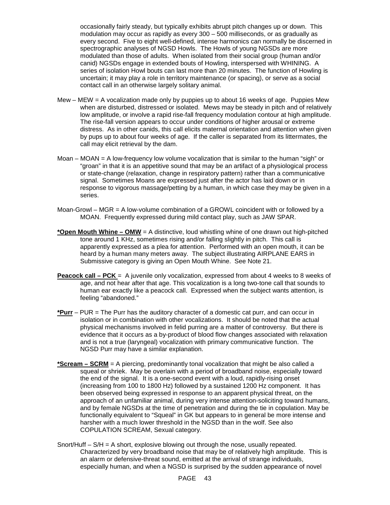occasionally fairly steady, but typically exhibits abrupt pitch changes up or down. This modulation may occur as rapidly as every 300 – 500 milliseconds, or as gradually as every second. Five to eight well-defined, intense harmonics can normally be discerned in spectrographic analyses of NGSD Howls. The Howls of young NGSDs are more modulated than those of adults. When isolated from their social group (human and/or canid) NGSDs engage in extended bouts of Howling, interspersed with WHINING. A series of isolation Howl bouts can last more than 20 minutes. The function of Howling is uncertain; it may play a role in territory maintenance (or spacing), or serve as a social contact call in an otherwise largely solitary animal.

- Mew MEW  $=$  A vocalization made only by puppies up to about 16 weeks of age. Puppies Mew when are disturbed, distressed or isolated. Mews may be steady in pitch and of relatively low amplitude, or involve a rapid rise-fall frequency modulation contour at high amplitude. The rise-fall version appears to occur under conditions of higher arousal or extreme distress. As in other canids, this call elicits maternal orientation and attention when given by pups up to about four weeks of age. If the caller is separated from its littermates, the call may elicit retrieval by the dam.
- Moan MOAN = A low-frequency low volume vocalization that is similar to the human "sigh" or "groan" in that it is an appetitive sound that may be an artifact of a physiological process or state-change (relaxation, change in respiratory pattern) rather than a communicative signal. Sometimes Moans are expressed just after the actor has laid down or in response to vigorous massage/petting by a human, in which case they may be given in a series.
- Moan-Growl MGR = A low-volume combination of a GROWL coincident with or followed by a MOAN. Frequently expressed during mild contact play, such as JAW SPAR.
- **\*Open Mouth Whine OMW** = A distinctive, loud whistling whine of one drawn out high-pitched tone around 1 KHz, sometimes rising and/or falling slightly in pitch. This call is apparently expressed as a plea for attention. Performed with an open mouth, it can be heard by a human many meters away. The subject illustrating AIRPLANE EARS in Submissive category is giving an Open Mouth Whine. See Note 21.
- **Peacock call PCK** = A juvenile only vocalization, expressed from about 4 weeks to 8 weeks of age, and not hear after that age. This vocalization is a long two-tone call that sounds to human ear exactly like a peacock call. Expressed when the subject wants attention, is feeling "abandoned."
- **\*Purr** PUR = The Purr has the auditory character of a domestic cat purr, and can occur in isolation or in combination with other vocalizations. It should be noted that the actual physical mechanisms involved in felid purring are a matter of controversy. But there is evidence that it occurs as a by-product of blood flow changes associated with relaxation and is not a true (laryngeal) vocalization with primary communicative function. The NGSD Purr may have a similar explanation.
- **\*Scream SCRM** = A piercing, predominantly tonal vocalization that might be also called a squeal or shriek. May be overlain with a period of broadband noise, especially toward the end of the signal. It is a one-second event with a loud, rapidly-rising onset (increasing from 100 to 1800 Hz) followed by a sustained 1200 Hz component. It has been observed being expressed in response to an apparent physical threat, on the approach of an unfamiliar animal, during very intense attention-soliciting toward humans, and by female NGSDs at the time of penetration and during the tie in copulation. May be functionally equivalent to "Squeal" in GK but appears to in general be more intense and harsher with a much lower threshold in the NGSD than in the wolf. See also COPULATION SCREAM, Sexual category.
- Snort/Huff  $S/H = A$  short, explosive blowing out through the nose, usually repeated. Characterized by very broadband noise that may be of relatively high amplitude. This is an alarm or defensive-threat sound, emitted at the arrival of strange individuals, especially human, and when a NGSD is surprised by the sudden appearance of novel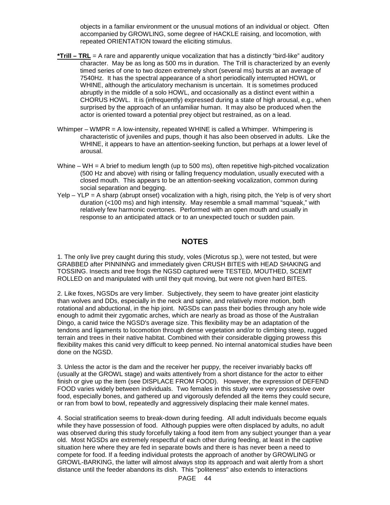objects in a familiar environment or the unusual motions of an individual or object. Often accompanied by GROWLING, some degree of HACKLE raising, and locomotion, with repeated ORIENTATION toward the eliciting stimulus.

- **\*Trill TRL** = A rare and apparently unique vocalization that has a distinctly "bird-like" auditory character. May be as long as 500 ms in duration. The Trill is characterized by an evenly timed series of one to two dozen extremely short (several ms) bursts at an average of 7540Hz. It has the spectral appearance of a short periodically interrupted HOWL or WHINE, although the articulatory mechanism is uncertain. It is sometimes produced abruptly in the middle of a solo HOWL, and occasionally as a distinct event within a CHORUS HOWL. It is (infrequently) expressed during a state of high arousal, e.g., when surprised by the approach of an unfamiliar human. It may also be produced when the actor is oriented toward a potential prey object but restrained, as on a lead.
- Whimper WMPR = A low-intensity, repeated WHINE is called a Whimper. Whimpering is characteristic of juveniles and pups, though it has also been observed in adults. Like the WHINE, it appears to have an attention-seeking function, but perhaps at a lower level of arousal.
- Whine WH = A brief to medium length (up to 500 ms), often repetitive high-pitched vocalization (500 Hz and above) with rising or falling frequency modulation, usually executed with a closed mouth. This appears to be an attention-seeking vocalization, common during social separation and begging.
- $Yelp YLP = A$  sharp (abrupt onset) vocalization with a high, rising pitch, the Yelp is of very short duration (<100 ms) and high intensity. May resemble a small mammal "squeak," with relatively few harmonic overtones. Performed with an open mouth and usually in response to an anticipated attack or to an unexpected touch or sudden pain.

# **NOTES**

1. The only live prey caught during this study, voles (Microtus sp.), were not tested, but were GRABBED after PINNINNG and immediately given CRUSH BITES with HEAD SHAKING and TOSSING. Insects and tree frogs the NGSD captured were TESTED, MOUTHED, SCEMT ROLLED on and manipulated with until they quit moving, but were not given hard BITES.

2. Like foxes, NGSDs are very limber. Subjectively, they seem to have greater joint elasticity than wolves and DDs, especially in the neck and spine, and relatively more motion, both rotational and abductional, in the hip joint. NGSDs can pass their bodies through any hole wide enough to admit their zygomatic arches, which are nearly as broad as those of the Australian Dingo, a canid twice the NGSD's average size. This flexibility may be an adaptation of the tendons and ligaments to locomotion through dense vegetation and/or to climbing steep, rugged terrain and trees in their native habitat. Combined with their considerable digging prowess this flexibility makes this canid very difficult to keep penned. No internal anatomical studies have been done on the NGSD.

3. Unless the actor is the dam and the receiver her puppy, the receiver invariably backs off (usually at the GROWL stage) and waits attentively from a short distance for the actor to either finish or give up the item (see DISPLACE FROM FOOD). However, the expression of DEFEND FOOD varies widely between individuals. Two females in this study were very possessive over food, especially bones, and gathered up and vigorously defended all the items they could secure, or ran from bowl to bowl, repeatedly and aggressively displacing their male kennel mates.

4. Social stratification seems to break-down during feeding. All adult individuals become equals while they have possession of food. Although puppies were often displaced by adults, no adult was observed during this study forcefully taking a food item from any subject younger than a year old. Most NGSDs are extremely respectful of each other during feeding, at least in the captive situation here where they are fed in separate bowls and there is has never been a need to compete for food. If a feeding individual protests the approach of another by GROWLING or GROWL-BARKING, the latter will almost always stop its approach and wait alertly from a short distance until the feeder abandons its dish. This "politeness" also extends to interactions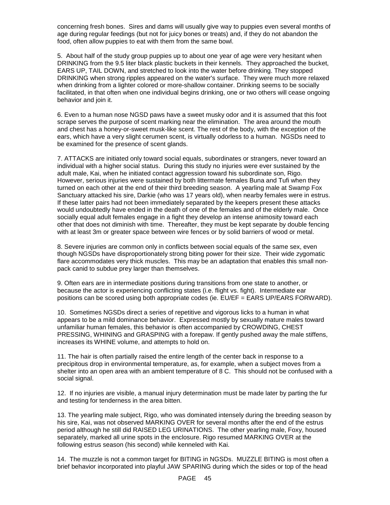concerning fresh bones. Sires and dams will usually give way to puppies even several months of age during regular feedings (but not for juicy bones or treats) and, if they do not abandon the food, often allow puppies to eat with them from the same bowl.

5. About half of the study group puppies up to about one year of age were very hesitant when DRINKING from the 9.5 liter black plastic buckets in their kennels. They approached the bucket, EARS UP, TAIL DOWN, and stretched to look into the water before drinking. They stopped DRINKING when strong ripples appeared on the water's surface. They were much more relaxed when drinking from a lighter colored or more-shallow container. Drinking seems to be socially facilitated, in that often when one individual begins drinking, one or two others will cease ongoing behavior and join it.

6. Even to a human nose NGSD paws have a sweet musky odor and it is assumed that this foot scrape serves the purpose of scent marking near the elimination. The area around the mouth and chest has a honey-or-sweet musk-like scent. The rest of the body, with the exception of the ears, which have a very slight cerumen scent, is virtually odorless to a human. NGSDs need to be examined for the presence of scent glands.

7. ATTACKS are initiated only toward social equals, subordinates or strangers, never toward an individual with a higher social status. During this study no injuries were ever sustained by the adult male, Kai, when he initiated contact aggression toward his subordinate son, Rigo. However, serious injuries were sustained by both littermate females Buna and Tufi when they turned on each other at the end of their third breeding season. A yearling male at Swamp Fox Sanctuary attacked his sire, Darkie (who was 17 years old), when nearby females were in estrus. If these latter pairs had not been immediately separated by the keepers present these attacks would undoubtedly have ended in the death of one of the females and of the elderly male. Once socially equal adult females engage in a fight they develop an intense animosity toward each other that does not diminish with time. Thereafter, they must be kept separate by double fencing with at least 3m or greater space between wire fences or by solid barriers of wood or metal.

8. Severe injuries are common only in conflicts between social equals of the same sex, even though NGSDs have disproportionately strong biting power for their size. Their wide zygomatic flare accommodates very thick muscles. This may be an adaptation that enables this small nonpack canid to subdue prey larger than themselves.

9. Often ears are in intermediate positions during transitions from one state to another, or because the actor is experiencing conflicting states (i.e. flight vs. fight). Intermediate ear positions can be scored using both appropriate codes (ie. EU/EF = EARS UP/EARS FORWARD).

10. Sometimes NGSDs direct a series of repetitive and vigorous licks to a human in what appears to be a mild dominance behavior. Expressed mostly by sexually mature males toward unfamiliar human females, this behavior is often accompanied by CROWDING, CHEST PRESSING, WHINING and GRASPING with a forepaw. If gently pushed away the male stiffens, increases its WHINE volume, and attempts to hold on.

11. The hair is often partially raised the entire length of the center back in response to a precipitous drop in environmental temperature, as, for example, when a subject moves from a shelter into an open area with an ambient temperature of 8 C. This should not be confused with a social signal.

12. If no injuries are visible, a manual injury determination must be made later by parting the fur and testing for tenderness in the area bitten.

13. The yearling male subject, Rigo, who was dominated intensely during the breeding season by his sire, Kai, was not observed MARKING OVER for several months after the end of the estrus period although he still did RAISED LEG URINATIONS. The other yearling male, Foxy, housed separately, marked all urine spots in the enclosure. Rigo resumed MARKING OVER at the following estrus season (his second) while kenneled with Kai.

14. The muzzle is not a common target for BITING in NGSDs. MUZZLE BITING is most often a brief behavior incorporated into playful JAW SPARING during which the sides or top of the head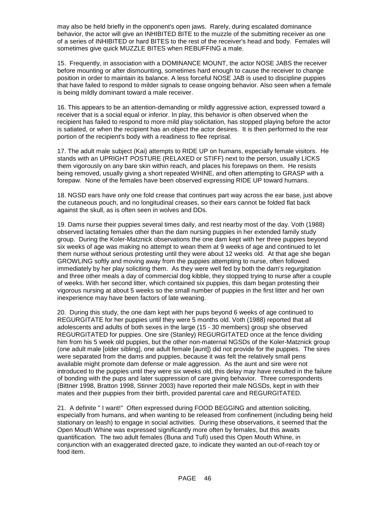may also be held briefly in the opponent's open jaws. Rarely, during escalated dominance behavior, the actor will give an INHIBITED BITE to the muzzle of the submitting receiver as one of a series of INHIBITED or hard BITES to the rest of the receiver's head and body. Females will sometimes give quick MUZZLE BITES when REBUFFING a male.

15. Frequently, in association with a DOMINANCE MOUNT, the actor NOSE JABS the receiver before mounting or after dismounting, sometimes hard enough to cause the receiver to change position in order to maintain its balance. A less forceful NOSE JAB is used to discipline puppies that have failed to respond to milder signals to cease ongoing behavior. Also seen when a female is being mildly dominant toward a male receiver.

16. This appears to be an attention-demanding or mildly aggressive action, expressed toward a receiver that is a social equal or inferior. In play, this behavior is often observed when the recipient has failed to respond to more mild play solicitation, has stopped playing before the actor is satiated, or when the recipient has an object the actor desires. It is then performed to the rear portion of the recipient's body with a readiness to flee reprisal.

17. The adult male subject (Kai) attempts to RIDE UP on humans, especially female visitors. He stands with an UPRIGHT POSTURE (RELAXED or STIFF) next to the person, usually LICKS them vigorously on any bare skin within reach, and places his forepaws on them. He resists being removed, usually giving a short repeated WHINE, and often attempting to GRASP with a forepaw. None of the females have been observed expressing RIDE UP toward humans.

18. NGSD ears have only one fold crease that continues part way across the ear base, just above the cutaneous pouch, and no longitudinal creases, so their ears cannot be folded flat back against the skull, as is often seen in wolves and DDs.

19. Dams nurse their puppies several times daily, and rest nearby most of the day. Voth (1988) observed lactating females other than the dam nursing puppies in her extended family study group. During the Koler-Matznick observations the one dam kept with her three puppies beyond six weeks of age was making no attempt to wean them at 9 weeks of age and continued to let them nurse without serious protesting until they were about 12 weeks old. At that age she began GROWLING softly and moving away from the puppies attempting to nurse, often followed immediately by her play soliciting them. As they were well fed by both the dam's regurgitation and three other meals a day of commercial dog kibble, they stopped trying to nurse after a couple of weeks. With her second litter, which contained six puppies, this dam began protesting their vigorous nursing at about 5 weeks so the small number of puppies in the first litter and her own inexperience may have been factors of late weaning.

20. During this study, the one dam kept with her pups beyond 6 weeks of age continued to REGURGITATE for her puppies until they were 5 months old. Voth (1988) reported that all adolescents and adults of both sexes in the large (15 - 30 members) group she observed REGURGITATED for puppies. One sire (Stanley) REGURGITATED once at the fence dividing him from his 5 week old puppies, but the other non-maternal NGSDs of the Koler-Matznick group (one adult male [older sibling], one adult female [aunt]) did not provide for the puppies. The sires were separated from the dams and puppies, because it was felt the relatively small pens available might promote dam defense or male aggression. As the aunt and sire were not introduced to the puppies until they were six weeks old, this delay may have resulted in the failure of bonding with the pups and later suppression of care giving behavior. Three correspondents (Bittner 1998, Bratton 1998, Stinner 2003) have reported their male NGSDs, kept in with their mates and their puppies from their birth, provided parental care and REGURGITATED.

21. A definite " I want!" Often expressed during FOOD BEGGING and attention soliciting, especially from humans, and when wanting to be released from confinement (including being held stationary on leash) to engage in social activities. During these observations, it seemed that the Open Mouth Whine was expressed significantly more often by females, but this awaits quantification. The two adult females (Buna and Tufi) used this Open Mouth Whine, in conjunction with an exaggerated directed gaze, to indicate they wanted an out-of-reach toy or food item.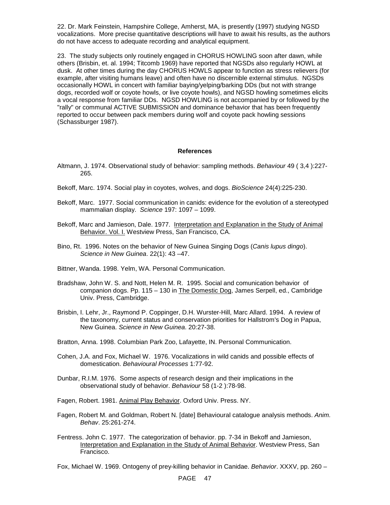22. Dr. Mark Feinstein, Hampshire College, Amherst, MA, is presently (1997) studying NGSD vocalizations. More precise quantitative descriptions will have to await his results, as the authors do not have access to adequate recording and analytical equipment.

23. The study subjects only routinely engaged in CHORUS HOWLING soon after dawn, while others (Brisbin, et. al. 1994; Titcomb 1969) have reported that NGSDs also regularly HOWL at dusk. At other times during the day CHORUS HOWLS appear to function as stress relievers (for example, after visiting humans leave) and often have no discernible external stimulus. NGSDs occasionally HOWL in concert with familiar baying/yelping/barking DDs (but not with strange dogs, recorded wolf or coyote howls, or live coyote howls), and NGSD howling sometimes elicits a vocal response from familiar DDs. NGSD HOWLING is not accompanied by or followed by the "rally" or communal ACTIVE SUBMISSION and dominance behavior that has been frequently reported to occur between pack members during wolf and coyote pack howling sessions (Schassburger 1987).

#### **References**

- Altmann, J. 1974. Observational study of behavior: sampling methods. *Behaviour* 49 ( 3,4 ):227- 265.
- Bekoff, Marc. 1974. Social play in coyotes, wolves, and dogs. *BioScience* 24(4):225-230.
- Bekoff, Marc. 1977. Social communication in canids: evidence for the evolution of a stereotyped mammalian display. *Science* 197: 1097 – 1099.
- Bekoff, Marc and Jamieson, Dale. 1977. Interpretation and Explanation in the Study of Animal Behavior. Vol. I. Westview Press, San Francisco, CA.
- Bino, Rt. 1996. Notes on the behavior of New Guinea Singing Dogs (*Canis lupus dingo*). *Science in New Guinea*. 22(1): 43 –47.
- Bittner, Wanda. 1998. Yelm, WA. Personal Communication.
- Bradshaw, John W. S. and Nott, Helen M. R. 1995. Social and comunication behavior of companion dogs. Pp. 115 – 130 in The Domestic Dog, James Serpell, ed., Cambridge Univ. Press, Cambridge.
- Brisbin, I. Lehr, Jr., Raymond P. Coppinger, D.H. Wurster-Hill, Marc Allard. 1994. A review of the taxonomy, current status and conservation priorities for Hallstrom's Dog in Papua, New Guinea. *Science in New Guinea*. 20:27-38.
- Bratton, Anna. 1998. Columbian Park Zoo, Lafayette, IN. Personal Communication.
- Cohen, J.A. and Fox, Michael W. 1976. Vocalizations in wild canids and possible effects of domestication. *Behavioural Processes* 1:77-92.
- Dunbar, R.I.M. 1976. Some aspects of research design and their implications in the observational study of behavior. *Behaviour* 58 (1-2 ):78-98.
- Fagen, Robert. 1981. Animal Play Behavior. Oxford Univ. Press. NY.
- Fagen, Robert M. and Goldman, Robert N. [date] Behavioural catalogue analysis methods. *Anim. Behav*. 25:261-274.
- Fentress. John C. 1977. The categorization of behavior. pp. 7-34 in Bekoff and Jamieson, Interpretation and Explanation in the Study of Animal Behavior. Westview Press, San Francisco.

Fox, Michael W. 1969. Ontogeny of prey-killing behavior in Canidae. *Behavior*. XXXV, pp. 260 –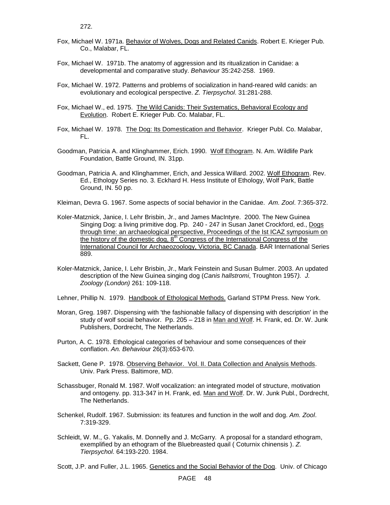- Fox, Michael W. 1971a. Behavior of Wolves, Dogs and Related Canids. Robert E. Krieger Pub. Co., Malabar, FL.
- Fox, Michael W. 1971b. The anatomy of aggression and its ritualization in Canidae: a developmental and comparative study. *Behaviour* 35:242-258. 1969.
- Fox, Michael W. 1972. Patterns and problems of socialization in hand-reared wild canids: an evolutionary and ecological perspective. *Z. Tierpsychol*. 31:281-288.
- Fox, Michael W., ed. 1975. The Wild Canids: Their Systematics, Behavioral Ecology and Evolution. Robert E. Krieger Pub. Co. Malabar, FL.
- Fox, Michael W. 1978. The Dog: Its Domestication and Behavior. Krieger Publ. Co. Malabar, FL.
- Goodman, Patricia A. and Klinghammer, Erich. 1990. Wolf Ethogram. N. Am. Wildlife Park Foundation, Battle Ground, IN. 31pp.
- Goodman, Patricia A. and Klinghammer, Erich, and Jessica Willard. 2002. Wolf Ethogram. Rev. Ed., Ethology Series no. 3. Eckhard H. Hess Institute of Ethology, Wolf Park, Battle Ground, IN. 50 pp.

Kleiman, Devra G. 1967. Some aspects of social behavior in the Canidae. *Am. Zool*. 7:365-372.

- Koler-Matznick, Janice, I. Lehr Brisbin, Jr., and James MacIntyre. 2000. The New Guinea Singing Dog: a living primitive dog. Pp. 240 - 247 in Susan Janet Crockford, ed., Dogs through time: an archaeological perspective, Proceedings of the Ist ICAZ symposium on the history of the domestic dog,  $8<sup>th</sup>$  Congress of the International Congress of the International Council for Archaeozoology, Victoria, BC Canada. BAR International Series 889.
- Koler-Matznick, Janice, I. Lehr Brisbin, Jr., Mark Feinstein and Susan Bulmer. 2003. An updated description of the New Guinea singing dog (*Canis hallstromi*, Troughton 1957*). J. Zoology (London)* 261: 109-118.
- Lehner, Phillip N. 1979. Handbook of Ethological Methods. Garland STPM Press. New York.
- Moran, Greg. 1987. Dispensing with 'the fashionable fallacy of dispensing with description' in the study of wolf social behavior. Pp. 205 – 218 in Man and Wolf. H. Frank, ed. Dr. W. Junk Publishers, Dordrecht, The Netherlands.
- Purton, A. C. 1978. Ethological categories of behaviour and some consequences of their conflation. *An. Behaviour* 26(3):653-670.
- Sackett, Gene P. 1978. Observing Behavior. Vol. II. Data Collection and Analysis Methods. Univ. Park Press. Baltimore, MD.
- Schassbuger, Ronald M. 1987. Wolf vocalization: an integrated model of structure, motivation and ontogeny. pp. 313-347 in H. Frank, ed. Man and Wolf. Dr. W. Junk Publ., Dordrecht, The Netherlands.
- Schenkel, Rudolf. 1967. Submission: its features and function in the wolf and dog. *Am. Zool*. 7:319-329.
- Schleidt, W. M., G. Yakalis, M. Donnelly and J. McGarry. A proposal for a standard ethogram, exemplified by an ethogram of the Bluebreasted quail ( Coturnix chinensis ). *Z. Tierpsychol*. 64:193-220. 1984.

Scott, J.P. and Fuller, J.L. 1965. Genetics and the Social Behavior of the Dog. Univ. of Chicago